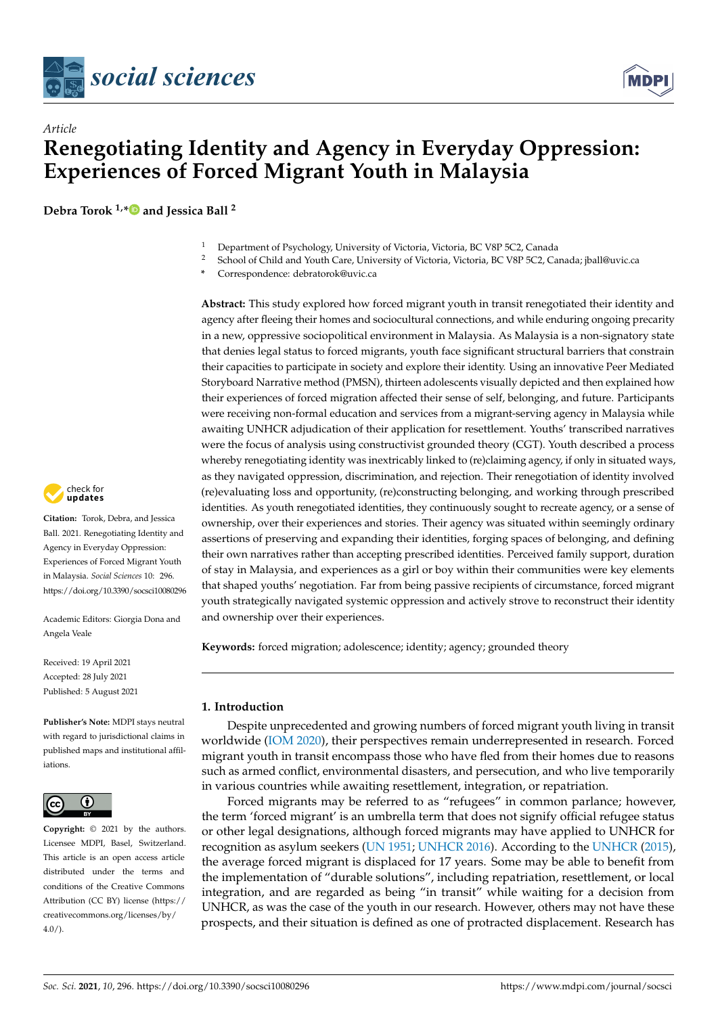



# *Article* **Renegotiating Identity and Agency in Everyday Oppression: Experiences of Forced Migrant Youth in Malaysia**

**Debra Torok 1,[\\*](https://orcid.org/0000-0002-4124-5800) and Jessica Ball <sup>2</sup>**



- <sup>2</sup> School of Child and Youth Care, University of Victoria, Victoria, BC V8P 5C2, Canada; jball@uvic.ca
- **\*** Correspondence: debratorok@uvic.ca

**Abstract:** This study explored how forced migrant youth in transit renegotiated their identity and agency after fleeing their homes and sociocultural connections, and while enduring ongoing precarity in a new, oppressive sociopolitical environment in Malaysia. As Malaysia is a non-signatory state that denies legal status to forced migrants, youth face significant structural barriers that constrain their capacities to participate in society and explore their identity. Using an innovative Peer Mediated Storyboard Narrative method (PMSN), thirteen adolescents visually depicted and then explained how their experiences of forced migration affected their sense of self, belonging, and future. Participants were receiving non-formal education and services from a migrant-serving agency in Malaysia while awaiting UNHCR adjudication of their application for resettlement. Youths' transcribed narratives were the focus of analysis using constructivist grounded theory (CGT). Youth described a process whereby renegotiating identity was inextricably linked to (re)claiming agency, if only in situated ways, as they navigated oppression, discrimination, and rejection. Their renegotiation of identity involved (re)evaluating loss and opportunity, (re)constructing belonging, and working through prescribed identities. As youth renegotiated identities, they continuously sought to recreate agency, or a sense of ownership, over their experiences and stories. Their agency was situated within seemingly ordinary assertions of preserving and expanding their identities, forging spaces of belonging, and defining their own narratives rather than accepting prescribed identities. Perceived family support, duration of stay in Malaysia, and experiences as a girl or boy within their communities were key elements that shaped youths' negotiation. Far from being passive recipients of circumstance, forced migrant youth strategically navigated systemic oppression and actively strove to reconstruct their identity and ownership over their experiences.

**Keywords:** forced migration; adolescence; identity; agency; grounded theory

### **1. Introduction**

Despite unprecedented and growing numbers of forced migrant youth living in transit worldwide [\(IOM](#page-16-0) [2020\)](#page-16-0), their perspectives remain underrepresented in research. Forced migrant youth in transit encompass those who have fled from their homes due to reasons such as armed conflict, environmental disasters, and persecution, and who live temporarily in various countries while awaiting resettlement, integration, or repatriation.

Forced migrants may be referred to as "refugees" in common parlance; however, the term 'forced migrant' is an umbrella term that does not signify official refugee status or other legal designations, although forced migrants may have applied to UNHCR for recognition as asylum seekers [\(UN](#page-17-0) [1951;](#page-17-0) [UNHCR](#page-17-1) [2016\)](#page-17-1). According to the [UNHCR](#page-17-2) [\(2015\)](#page-17-2), the average forced migrant is displaced for 17 years. Some may be able to benefit from the implementation of "durable solutions", including repatriation, resettlement, or local integration, and are regarded as being "in transit" while waiting for a decision from UNHCR, as was the case of the youth in our research. However, others may not have these prospects, and their situation is defined as one of protracted displacement. Research has



**Citation:** Torok, Debra, and Jessica Ball. 2021. Renegotiating Identity and Agency in Everyday Oppression: Experiences of Forced Migrant Youth in Malaysia. *Social Sciences* 10: 296. <https://doi.org/10.3390/socsci10080296>

Academic Editors: Giorgia Dona and Angela Veale

Received: 19 April 2021 Accepted: 28 July 2021 Published: 5 August 2021

**Publisher's Note:** MDPI stays neutral with regard to jurisdictional claims in published maps and institutional affiliations.



**Copyright:** © 2021 by the authors. Licensee MDPI, Basel, Switzerland. This article is an open access article distributed under the terms and conditions of the Creative Commons Attribution (CC BY) license (https:/[/](https://creativecommons.org/licenses/by/4.0/) [creativecommons.org/licenses/by/](https://creativecommons.org/licenses/by/4.0/)  $4.0/$ ).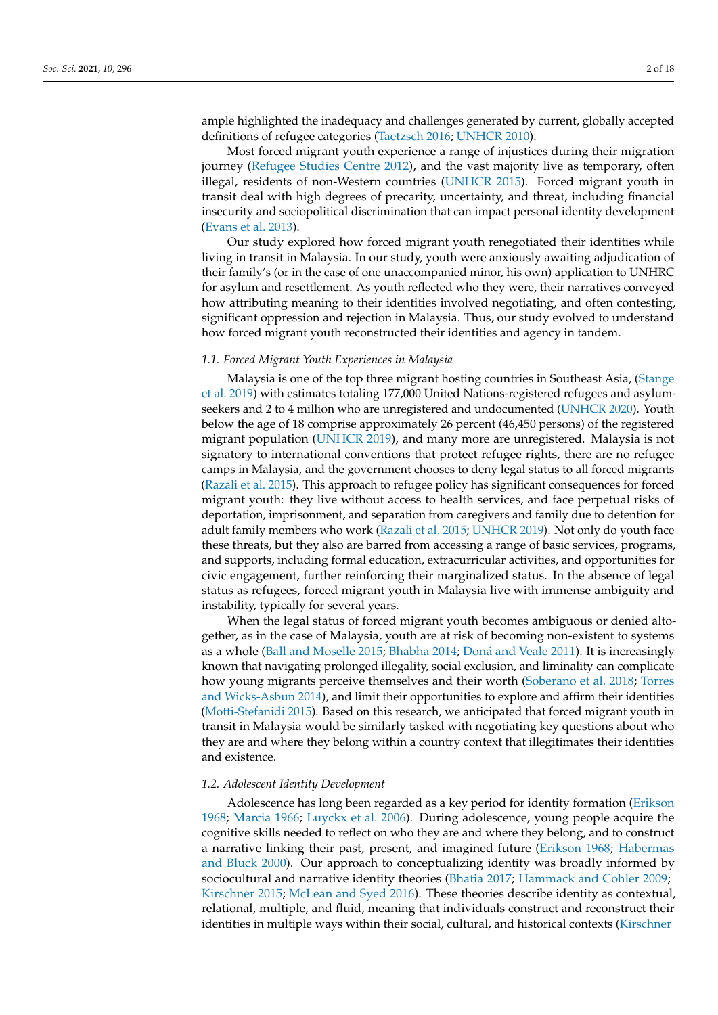ample highlighted the inadequacy and challenges generated by current, globally accepted

definitions of refugee categories [\(Taetzsch](#page-17-3) [2016;](#page-17-3) [UNHCR](#page-17-4) [2010\)](#page-17-4). Most forced migrant youth experience a range of injustices during their migration journey [\(Refugee Studies Centre](#page-16-1) [2012\)](#page-16-1), and the vast majority live as temporary, often illegal, residents of non-Western countries [\(UNHCR](#page-17-2) [2015\)](#page-17-2). Forced migrant youth in transit deal with high degrees of precarity, uncertainty, and threat, including financial insecurity and sociopolitical discrimination that can impact personal identity development [\(Evans et al.](#page-16-2) [2013\)](#page-16-2).

Our study explored how forced migrant youth renegotiated their identities while living in transit in Malaysia. In our study, youth were anxiously awaiting adjudication of their family's (or in the case of one unaccompanied minor, his own) application to UNHRC for asylum and resettlement. As youth reflected who they were, their narratives conveyed how attributing meaning to their identities involved negotiating, and often contesting, significant oppression and rejection in Malaysia. Thus, our study evolved to understand how forced migrant youth reconstructed their identities and agency in tandem.

## *1.1. Forced Migrant Youth Experiences in Malaysia*

Malaysia is one of the top three migrant hosting countries in Southeast Asia, [\(Stange](#page-17-5) [et al.](#page-17-5) [2019\)](#page-17-5) with estimates totaling 177,000 United Nations-registered refugees and asylumseekers and 2 to 4 million who are unregistered and undocumented [\(UNHCR](#page-17-6) [2020\)](#page-17-6). Youth below the age of 18 comprise approximately 26 percent (46,450 persons) of the registered migrant population [\(UNHCR](#page-17-7) [2019\)](#page-17-7), and many more are unregistered. Malaysia is not signatory to international conventions that protect refugee rights, there are no refugee camps in Malaysia, and the government chooses to deny legal status to all forced migrants [\(Razali et al.](#page-16-3) [2015\)](#page-16-3). This approach to refugee policy has significant consequences for forced migrant youth: they live without access to health services, and face perpetual risks of deportation, imprisonment, and separation from caregivers and family due to detention for adult family members who work [\(Razali et al.](#page-16-3) [2015;](#page-16-3) [UNHCR](#page-17-7) [2019\)](#page-17-7). Not only do youth face these threats, but they also are barred from accessing a range of basic services, programs, and supports, including formal education, extracurricular activities, and opportunities for civic engagement, further reinforcing their marginalized status. In the absence of legal status as refugees, forced migrant youth in Malaysia live with immense ambiguity and instability, typically for several years.

When the legal status of forced migrant youth becomes ambiguous or denied altogether, as in the case of Malaysia, youth are at risk of becoming non-existent to systems as a whole [\(Ball and Moselle](#page-15-0) [2015;](#page-15-0) [Bhabha](#page-15-1) [2014;](#page-15-1) Doná [and Veale](#page-15-2) [2011\)](#page-15-2). It is increasingly known that navigating prolonged illegality, social exclusion, and liminality can complicate how young migrants perceive themselves and their worth [\(Soberano et al.](#page-17-8) [2018;](#page-17-8) [Torres](#page-17-9) [and Wicks-Asbun](#page-17-9) [2014\)](#page-17-9), and limit their opportunities to explore and affirm their identities [\(Motti-Stefanidi](#page-16-4) [2015\)](#page-16-4). Based on this research, we anticipated that forced migrant youth in transit in Malaysia would be similarly tasked with negotiating key questions about who they are and where they belong within a country context that illegitimates their identities and existence.

# *1.2. Adolescent Identity Development*

Adolescence has long been regarded as a key period for identity formation [\(Erikson](#page-16-5) [1968;](#page-16-5) [Marcia](#page-16-6) [1966;](#page-16-6) [Luyckx et al.](#page-16-7) [2006\)](#page-16-7). During adolescence, young people acquire the cognitive skills needed to reflect on who they are and where they belong, and to construct a narrative linking their past, present, and imagined future [\(Erikson](#page-16-5) [1968;](#page-16-5) [Habermas](#page-16-8) [and Bluck](#page-16-8) [2000\)](#page-16-8). Our approach to conceptualizing identity was broadly informed by sociocultural and narrative identity theories [\(Bhatia](#page-15-3) [2017;](#page-15-3) [Hammack and Cohler](#page-16-9) [2009;](#page-16-9) [Kirschner](#page-16-10) [2015;](#page-16-10) [McLean and Syed](#page-16-11) [2016\)](#page-16-11). These theories describe identity as contextual, relational, multiple, and fluid, meaning that individuals construct and reconstruct their identities in multiple ways within their social, cultural, and historical contexts [\(Kirschner](#page-16-10)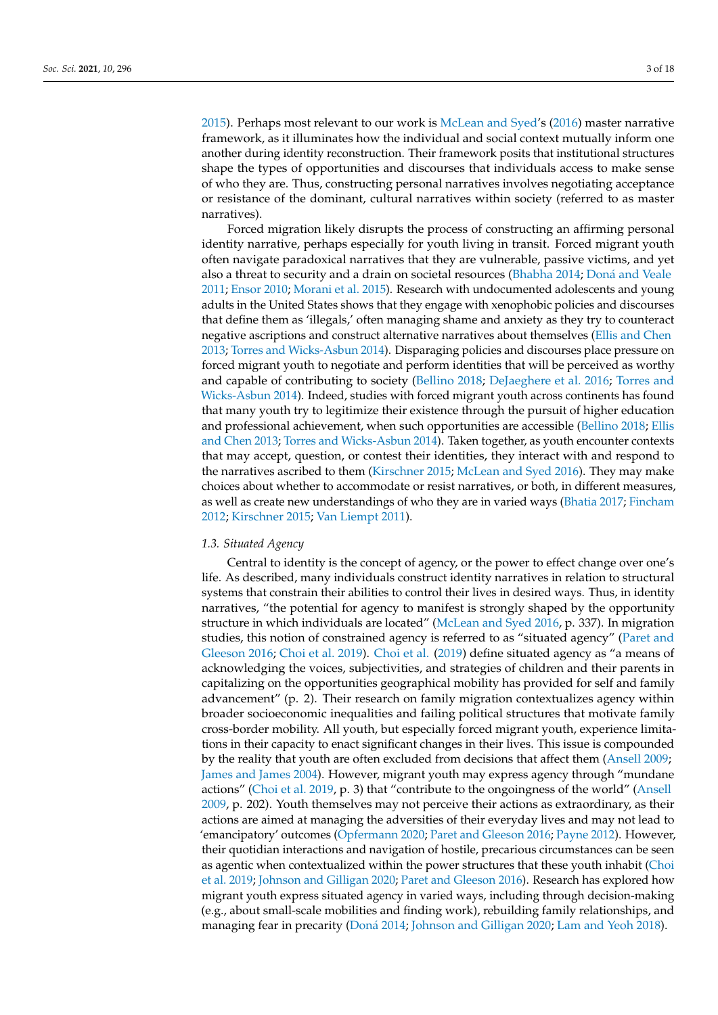[2015\)](#page-16-10). Perhaps most relevant to our work is [McLean and Syed'](#page-16-11)s [\(2016\)](#page-16-11) master narrative framework, as it illuminates how the individual and social context mutually inform one another during identity reconstruction. Their framework posits that institutional structures shape the types of opportunities and discourses that individuals access to make sense of who they are. Thus, constructing personal narratives involves negotiating acceptance or resistance of the dominant, cultural narratives within society (referred to as master narratives).

Forced migration likely disrupts the process of constructing an affirming personal identity narrative, perhaps especially for youth living in transit. Forced migrant youth often navigate paradoxical narratives that they are vulnerable, passive victims, and yet also a threat to security and a drain on societal resources [\(Bhabha](#page-15-1) [2014;](#page-15-1) Doná [and Veale](#page-15-2) [2011;](#page-15-2) [Ensor](#page-16-12) [2010;](#page-16-12) [Morani et al.](#page-16-13) [2015\)](#page-16-13). Research with undocumented adolescents and young adults in the United States shows that they engage with xenophobic policies and discourses that define them as 'illegals,' often managing shame and anxiety as they try to counteract negative ascriptions and construct alternative narratives about themselves [\(Ellis and Chen](#page-16-14) [2013;](#page-16-14) [Torres and Wicks-Asbun](#page-17-9) [2014\)](#page-17-9). Disparaging policies and discourses place pressure on forced migrant youth to negotiate and perform identities that will be perceived as worthy and capable of contributing to society [\(Bellino](#page-15-4) [2018;](#page-15-4) [DeJaeghere et al.](#page-15-5) [2016;](#page-15-5) [Torres and](#page-17-9) [Wicks-Asbun](#page-17-9) [2014\)](#page-17-9). Indeed, studies with forced migrant youth across continents has found that many youth try to legitimize their existence through the pursuit of higher education and professional achievement, when such opportunities are accessible [\(Bellino](#page-15-4) [2018;](#page-15-4) [Ellis](#page-16-14) [and Chen](#page-16-14) [2013;](#page-16-14) [Torres and Wicks-Asbun](#page-17-9) [2014\)](#page-17-9). Taken together, as youth encounter contexts that may accept, question, or contest their identities, they interact with and respond to the narratives ascribed to them [\(Kirschner](#page-16-10) [2015;](#page-16-10) [McLean and Syed](#page-16-11) [2016\)](#page-16-11). They may make choices about whether to accommodate or resist narratives, or both, in different measures, as well as create new understandings of who they are in varied ways [\(Bhatia](#page-15-3) [2017;](#page-15-3) [Fincham](#page-16-15) [2012;](#page-16-15) [Kirschner](#page-16-10) [2015;](#page-16-10) [Van Liempt](#page-17-10) [2011\)](#page-17-10).

#### *1.3. Situated Agency*

Central to identity is the concept of agency, or the power to effect change over one's life. As described, many individuals construct identity narratives in relation to structural systems that constrain their abilities to control their lives in desired ways. Thus, in identity narratives, "the potential for agency to manifest is strongly shaped by the opportunity structure in which individuals are located" [\(McLean and Syed](#page-16-11) [2016,](#page-16-11) p. 337). In migration studies, this notion of constrained agency is referred to as "situated agency" [\(Paret and](#page-16-16) [Gleeson](#page-16-16) [2016;](#page-16-16) [Choi et al.](#page-15-6) [2019\)](#page-15-6). [Choi et al.](#page-15-6) [\(2019\)](#page-15-6) define situated agency as "a means of acknowledging the voices, subjectivities, and strategies of children and their parents in capitalizing on the opportunities geographical mobility has provided for self and family advancement" (p. 2). Their research on family migration contextualizes agency within broader socioeconomic inequalities and failing political structures that motivate family cross-border mobility. All youth, but especially forced migrant youth, experience limitations in their capacity to enact significant changes in their lives. This issue is compounded by the reality that youth are often excluded from decisions that affect them [\(Ansell](#page-15-7) [2009;](#page-15-7) [James and James](#page-16-17) [2004\)](#page-16-17). However, migrant youth may express agency through "mundane actions" [\(Choi et al.](#page-15-6) [2019,](#page-15-6) p. 3) that "contribute to the ongoingness of the world" [\(Ansell](#page-15-7) [2009,](#page-15-7) p. 202). Youth themselves may not perceive their actions as extraordinary, as their actions are aimed at managing the adversities of their everyday lives and may not lead to 'emancipatory' outcomes [\(Opfermann](#page-16-18) [2020;](#page-16-18) [Paret and Gleeson](#page-16-16) [2016;](#page-16-16) [Payne](#page-16-19) [2012\)](#page-16-19). However, their quotidian interactions and navigation of hostile, precarious circumstances can be seen as agentic when contextualized within the power structures that these youth inhabit [\(Choi](#page-15-6) [et al.](#page-15-6) [2019;](#page-15-6) [Johnson and Gilligan](#page-16-20) [2020;](#page-16-20) [Paret and Gleeson](#page-16-16) [2016\)](#page-16-16). Research has explored how migrant youth express situated agency in varied ways, including through decision-making (e.g., about small-scale mobilities and finding work), rebuilding family relationships, and managing fear in precarity [\(Don](#page-16-21)á [2014;](#page-16-21) [Johnson and Gilligan](#page-16-20) [2020;](#page-16-20) [Lam and Yeoh](#page-16-22) [2018\)](#page-16-22).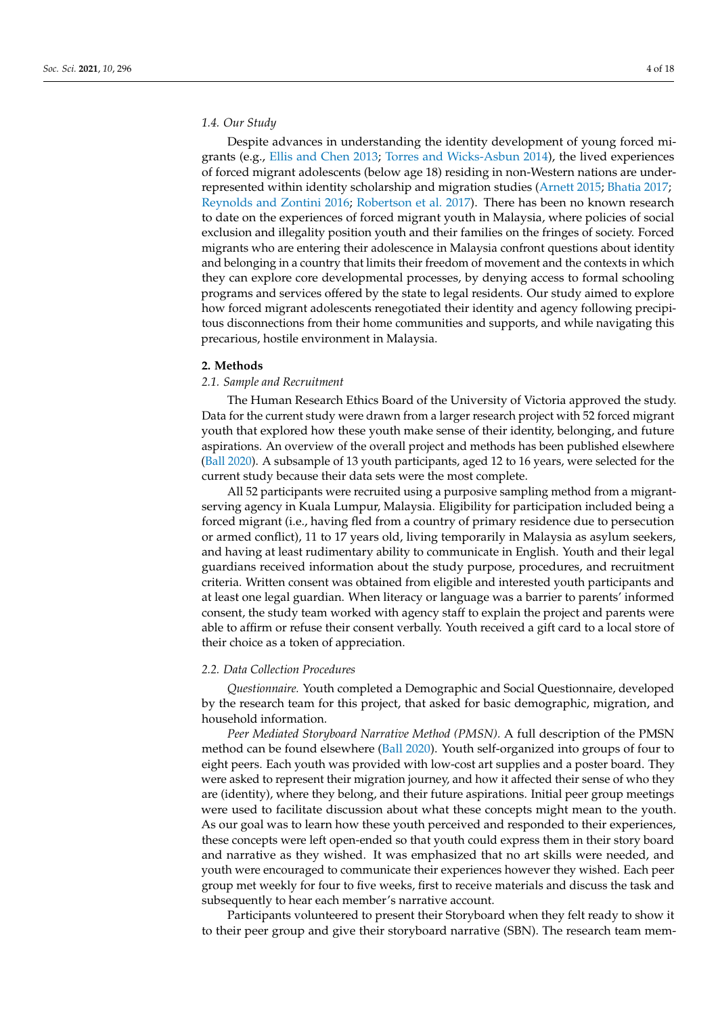# *1.4. Our Study*

Despite advances in understanding the identity development of young forced migrants (e.g., [Ellis and Chen](#page-16-14) [2013;](#page-16-14) [Torres and Wicks-Asbun](#page-17-9) [2014\)](#page-17-9), the lived experiences of forced migrant adolescents (below age 18) residing in non-Western nations are underrepresented within identity scholarship and migration studies [\(Arnett](#page-15-8) [2015;](#page-15-8) [Bhatia](#page-15-3) [2017;](#page-15-3) [Reynolds and Zontini](#page-17-11) [2016;](#page-17-11) [Robertson et al.](#page-17-12) [2017\)](#page-17-12). There has been no known research to date on the experiences of forced migrant youth in Malaysia, where policies of social exclusion and illegality position youth and their families on the fringes of society. Forced migrants who are entering their adolescence in Malaysia confront questions about identity and belonging in a country that limits their freedom of movement and the contexts in which they can explore core developmental processes, by denying access to formal schooling programs and services offered by the state to legal residents. Our study aimed to explore how forced migrant adolescents renegotiated their identity and agency following precipitous disconnections from their home communities and supports, and while navigating this precarious, hostile environment in Malaysia.

#### **2. Methods**

#### *2.1. Sample and Recruitment*

The Human Research Ethics Board of the University of Victoria approved the study. Data for the current study were drawn from a larger research project with 52 forced migrant youth that explored how these youth make sense of their identity, belonging, and future aspirations. An overview of the overall project and methods has been published elsewhere [\(Ball](#page-15-9) [2020\)](#page-15-9). A subsample of 13 youth participants, aged 12 to 16 years, were selected for the current study because their data sets were the most complete.

All 52 participants were recruited using a purposive sampling method from a migrantserving agency in Kuala Lumpur, Malaysia. Eligibility for participation included being a forced migrant (i.e., having fled from a country of primary residence due to persecution or armed conflict), 11 to 17 years old, living temporarily in Malaysia as asylum seekers, and having at least rudimentary ability to communicate in English. Youth and their legal guardians received information about the study purpose, procedures, and recruitment criteria. Written consent was obtained from eligible and interested youth participants and at least one legal guardian. When literacy or language was a barrier to parents' informed consent, the study team worked with agency staff to explain the project and parents were able to affirm or refuse their consent verbally. Youth received a gift card to a local store of their choice as a token of appreciation.

#### *2.2. Data Collection Procedures*

*Questionnaire.* Youth completed a Demographic and Social Questionnaire, developed by the research team for this project, that asked for basic demographic, migration, and household information.

*Peer Mediated Storyboard Narrative Method (PMSN).* A full description of the PMSN method can be found elsewhere [\(Ball](#page-15-9) [2020\)](#page-15-9). Youth self-organized into groups of four to eight peers. Each youth was provided with low-cost art supplies and a poster board. They were asked to represent their migration journey, and how it affected their sense of who they are (identity), where they belong, and their future aspirations. Initial peer group meetings were used to facilitate discussion about what these concepts might mean to the youth. As our goal was to learn how these youth perceived and responded to their experiences, these concepts were left open-ended so that youth could express them in their story board and narrative as they wished. It was emphasized that no art skills were needed, and youth were encouraged to communicate their experiences however they wished. Each peer group met weekly for four to five weeks, first to receive materials and discuss the task and subsequently to hear each member's narrative account.

Participants volunteered to present their Storyboard when they felt ready to show it to their peer group and give their storyboard narrative (SBN). The research team mem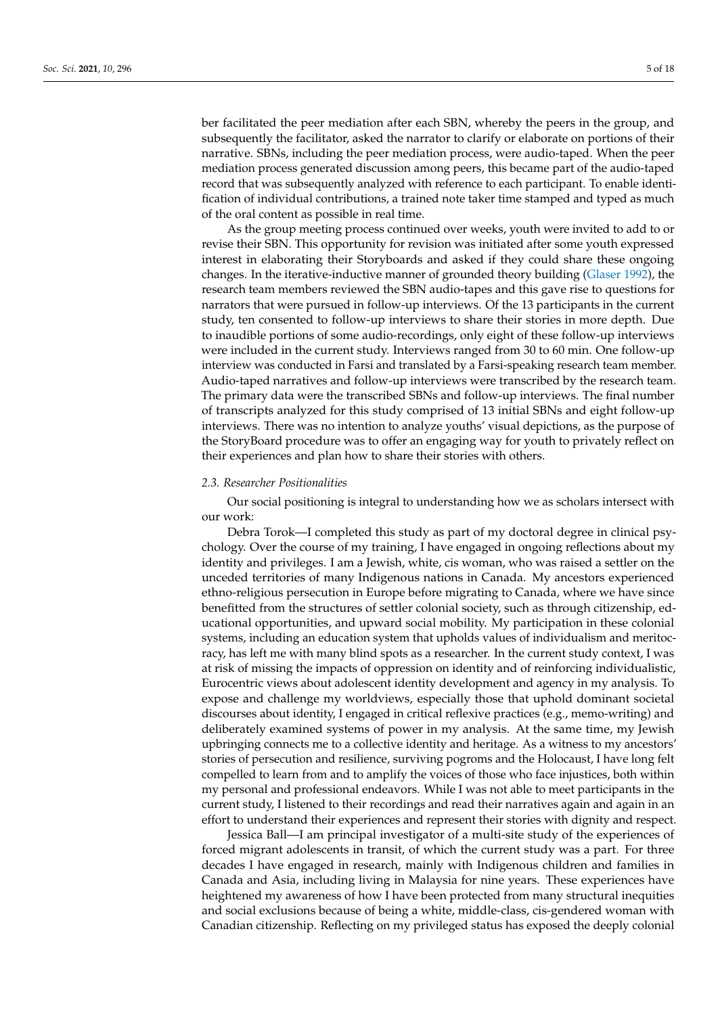ber facilitated the peer mediation after each SBN, whereby the peers in the group, and subsequently the facilitator, asked the narrator to clarify or elaborate on portions of their narrative. SBNs, including the peer mediation process, were audio-taped. When the peer mediation process generated discussion among peers, this became part of the audio-taped record that was subsequently analyzed with reference to each participant. To enable identification of individual contributions, a trained note taker time stamped and typed as much of the oral content as possible in real time.

As the group meeting process continued over weeks, youth were invited to add to or revise their SBN. This opportunity for revision was initiated after some youth expressed interest in elaborating their Storyboards and asked if they could share these ongoing changes. In the iterative-inductive manner of grounded theory building [\(Glaser](#page-16-23) [1992\)](#page-16-23), the research team members reviewed the SBN audio-tapes and this gave rise to questions for narrators that were pursued in follow-up interviews. Of the 13 participants in the current study, ten consented to follow-up interviews to share their stories in more depth. Due to inaudible portions of some audio-recordings, only eight of these follow-up interviews were included in the current study. Interviews ranged from 30 to 60 min. One follow-up interview was conducted in Farsi and translated by a Farsi-speaking research team member. Audio-taped narratives and follow-up interviews were transcribed by the research team. The primary data were the transcribed SBNs and follow-up interviews. The final number of transcripts analyzed for this study comprised of 13 initial SBNs and eight follow-up interviews. There was no intention to analyze youths' visual depictions, as the purpose of the StoryBoard procedure was to offer an engaging way for youth to privately reflect on their experiences and plan how to share their stories with others.

## *2.3. Researcher Positionalities*

Our social positioning is integral to understanding how we as scholars intersect with our work:

Debra Torok—I completed this study as part of my doctoral degree in clinical psychology. Over the course of my training, I have engaged in ongoing reflections about my identity and privileges. I am a Jewish, white, cis woman, who was raised a settler on the unceded territories of many Indigenous nations in Canada. My ancestors experienced ethno-religious persecution in Europe before migrating to Canada, where we have since benefitted from the structures of settler colonial society, such as through citizenship, educational opportunities, and upward social mobility. My participation in these colonial systems, including an education system that upholds values of individualism and meritocracy, has left me with many blind spots as a researcher. In the current study context, I was at risk of missing the impacts of oppression on identity and of reinforcing individualistic, Eurocentric views about adolescent identity development and agency in my analysis. To expose and challenge my worldviews, especially those that uphold dominant societal discourses about identity, I engaged in critical reflexive practices (e.g., memo-writing) and deliberately examined systems of power in my analysis. At the same time, my Jewish upbringing connects me to a collective identity and heritage. As a witness to my ancestors' stories of persecution and resilience, surviving pogroms and the Holocaust, I have long felt compelled to learn from and to amplify the voices of those who face injustices, both within my personal and professional endeavors. While I was not able to meet participants in the current study, I listened to their recordings and read their narratives again and again in an effort to understand their experiences and represent their stories with dignity and respect.

Jessica Ball—I am principal investigator of a multi-site study of the experiences of forced migrant adolescents in transit, of which the current study was a part. For three decades I have engaged in research, mainly with Indigenous children and families in Canada and Asia, including living in Malaysia for nine years. These experiences have heightened my awareness of how I have been protected from many structural inequities and social exclusions because of being a white, middle-class, cis-gendered woman with Canadian citizenship. Reflecting on my privileged status has exposed the deeply colonial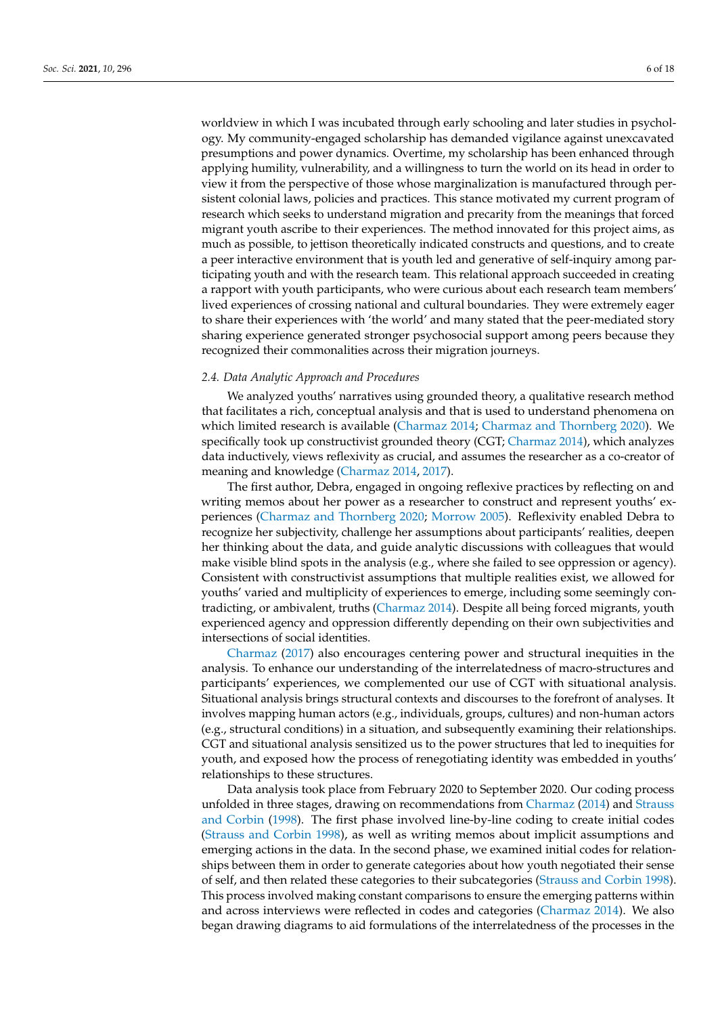worldview in which I was incubated through early schooling and later studies in psychology. My community-engaged scholarship has demanded vigilance against unexcavated presumptions and power dynamics. Overtime, my scholarship has been enhanced through applying humility, vulnerability, and a willingness to turn the world on its head in order to view it from the perspective of those whose marginalization is manufactured through persistent colonial laws, policies and practices. This stance motivated my current program of research which seeks to understand migration and precarity from the meanings that forced migrant youth ascribe to their experiences. The method innovated for this project aims, as much as possible, to jettison theoretically indicated constructs and questions, and to create a peer interactive environment that is youth led and generative of self-inquiry among participating youth and with the research team. This relational approach succeeded in creating a rapport with youth participants, who were curious about each research team members' lived experiences of crossing national and cultural boundaries. They were extremely eager to share their experiences with 'the world' and many stated that the peer-mediated story sharing experience generated stronger psychosocial support among peers because they recognized their commonalities across their migration journeys.

## *2.4. Data Analytic Approach and Procedures*

We analyzed youths' narratives using grounded theory, a qualitative research method that facilitates a rich, conceptual analysis and that is used to understand phenomena on which limited research is available [\(Charmaz](#page-15-10) [2014;](#page-15-10) [Charmaz and Thornberg](#page-15-11) [2020\)](#page-15-11). We specifically took up constructivist grounded theory (CGT; [Charmaz](#page-15-10) [2014\)](#page-15-10), which analyzes data inductively, views reflexivity as crucial, and assumes the researcher as a co-creator of meaning and knowledge [\(Charmaz](#page-15-10) [2014,](#page-15-10) [2017\)](#page-15-12).

The first author, Debra, engaged in ongoing reflexive practices by reflecting on and writing memos about her power as a researcher to construct and represent youths' experiences [\(Charmaz and Thornberg](#page-15-11) [2020;](#page-15-11) [Morrow](#page-16-24) [2005\)](#page-16-24). Reflexivity enabled Debra to recognize her subjectivity, challenge her assumptions about participants' realities, deepen her thinking about the data, and guide analytic discussions with colleagues that would make visible blind spots in the analysis (e.g., where she failed to see oppression or agency). Consistent with constructivist assumptions that multiple realities exist, we allowed for youths' varied and multiplicity of experiences to emerge, including some seemingly contradicting, or ambivalent, truths [\(Charmaz](#page-15-10) [2014\)](#page-15-10). Despite all being forced migrants, youth experienced agency and oppression differently depending on their own subjectivities and intersections of social identities.

[Charmaz](#page-15-12) [\(2017\)](#page-15-12) also encourages centering power and structural inequities in the analysis. To enhance our understanding of the interrelatedness of macro-structures and participants' experiences, we complemented our use of CGT with situational analysis. Situational analysis brings structural contexts and discourses to the forefront of analyses. It involves mapping human actors (e.g., individuals, groups, cultures) and non-human actors (e.g., structural conditions) in a situation, and subsequently examining their relationships. CGT and situational analysis sensitized us to the power structures that led to inequities for youth, and exposed how the process of renegotiating identity was embedded in youths' relationships to these structures.

Data analysis took place from February 2020 to September 2020. Our coding process unfolded in three stages, drawing on recommendations from [Charmaz](#page-15-10) [\(2014\)](#page-15-10) and [Strauss](#page-17-13) [and Corbin](#page-17-13) [\(1998\)](#page-17-13). The first phase involved line-by-line coding to create initial codes [\(Strauss and Corbin](#page-17-13) [1998\)](#page-17-13), as well as writing memos about implicit assumptions and emerging actions in the data. In the second phase, we examined initial codes for relationships between them in order to generate categories about how youth negotiated their sense of self, and then related these categories to their subcategories [\(Strauss and Corbin](#page-17-13) [1998\)](#page-17-13). This process involved making constant comparisons to ensure the emerging patterns within and across interviews were reflected in codes and categories [\(Charmaz](#page-15-10) [2014\)](#page-15-10). We also began drawing diagrams to aid formulations of the interrelatedness of the processes in the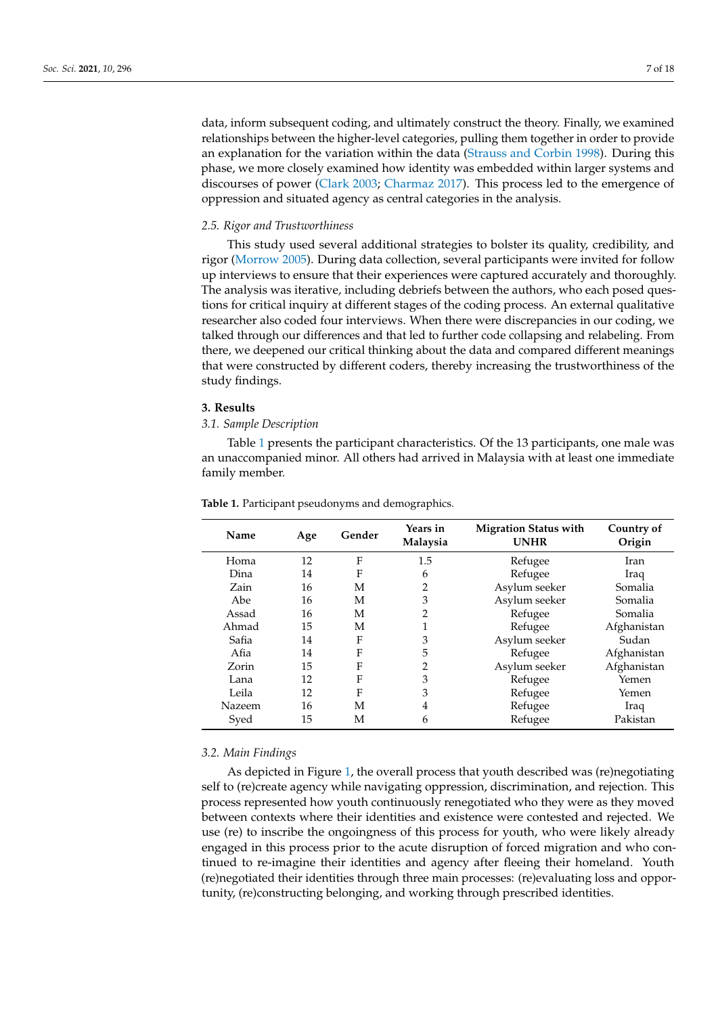data, inform subsequent coding, and ultimately construct the theory. Finally, we examined relationships between the higher-level categories, pulling them together in order to provide an explanation for the variation within the data [\(Strauss and Corbin](#page-17-13) [1998\)](#page-17-13). During this phase, we more closely examined how identity was embedded within larger systems and discourses of power [\(Clark](#page-15-13) [2003;](#page-15-13) [Charmaz](#page-15-12) [2017\)](#page-15-12). This process led to the emergence of oppression and situated agency as central categories in the analysis.

#### *2.5. Rigor and Trustworthiness*

This study used several additional strategies to bolster its quality, credibility, and rigor [\(Morrow](#page-16-24) [2005\)](#page-16-24). During data collection, several participants were invited for follow up interviews to ensure that their experiences were captured accurately and thoroughly. The analysis was iterative, including debriefs between the authors, who each posed questions for critical inquiry at different stages of the coding process. An external qualitative researcher also coded four interviews. When there were discrepancies in our coding, we talked through our differences and that led to further code collapsing and relabeling. From there, we deepened our critical thinking about the data and compared different meanings that were constructed by different coders, thereby increasing the trustworthiness of the study findings.

## **3. Results**

#### *3.1. Sample Description*

Table [1](#page-6-0) presents the participant characteristics. Of the 13 participants, one male was an unaccompanied minor. All others had arrived in Malaysia with at least one immediate family member.

| Name   | Age | Gender       | Years in<br>Malaysia | <b>Migration Status with</b><br><b>UNHR</b> | Country of<br>Origin |
|--------|-----|--------------|----------------------|---------------------------------------------|----------------------|
| Homa   | 12  | F            | 1.5                  | Refugee                                     | Iran                 |
| Dina   | 14  | F            | 6                    | Refugee                                     | Iraq                 |
| Zain   | 16  | М            | 2                    | Asylum seeker                               | Somalia              |
| Abe    | 16  | М            | 3                    | Asylum seeker                               | Somalia              |
| Assad  | 16  | М            | 2                    | Refugee                                     | Somalia              |
| Ahmad  | 15  | M            |                      | Refugee                                     | Afghanistan          |
| Safia  | 14  | F            | 3                    | Asylum seeker                               | Sudan                |
| Afia   | 14  | F            | 5                    | Refugee                                     | Afghanistan          |
| Zorin  | 15  | F            | 2                    | Asylum seeker                               | Afghanistan          |
| Lana   | 12  | $\mathbf{F}$ | 3                    | Refugee                                     | Yemen                |
| Leila  | 12  | F            | 3                    | Refugee                                     | Yemen                |
| Nazeem | 16  | M            | 4                    | Refugee                                     | Iraq                 |
| Syed   | 15  | М            | 6                    | Refugee                                     | Pakistan             |

<span id="page-6-0"></span>**Table 1.** Participant pseudonyms and demographics.

#### *3.2. Main Findings*

As depicted in Figure [1,](#page-7-0) the overall process that youth described was (re)negotiating self to (re)create agency while navigating oppression, discrimination, and rejection. This process represented how youth continuously renegotiated who they were as they moved between contexts where their identities and existence were contested and rejected. We use (re) to inscribe the ongoingness of this process for youth, who were likely already engaged in this process prior to the acute disruption of forced migration and who continued to re-imagine their identities and agency after fleeing their homeland. Youth (re)negotiated their identities through three main processes: (re)evaluating loss and opportunity, (re)constructing belonging, and working through prescribed identities.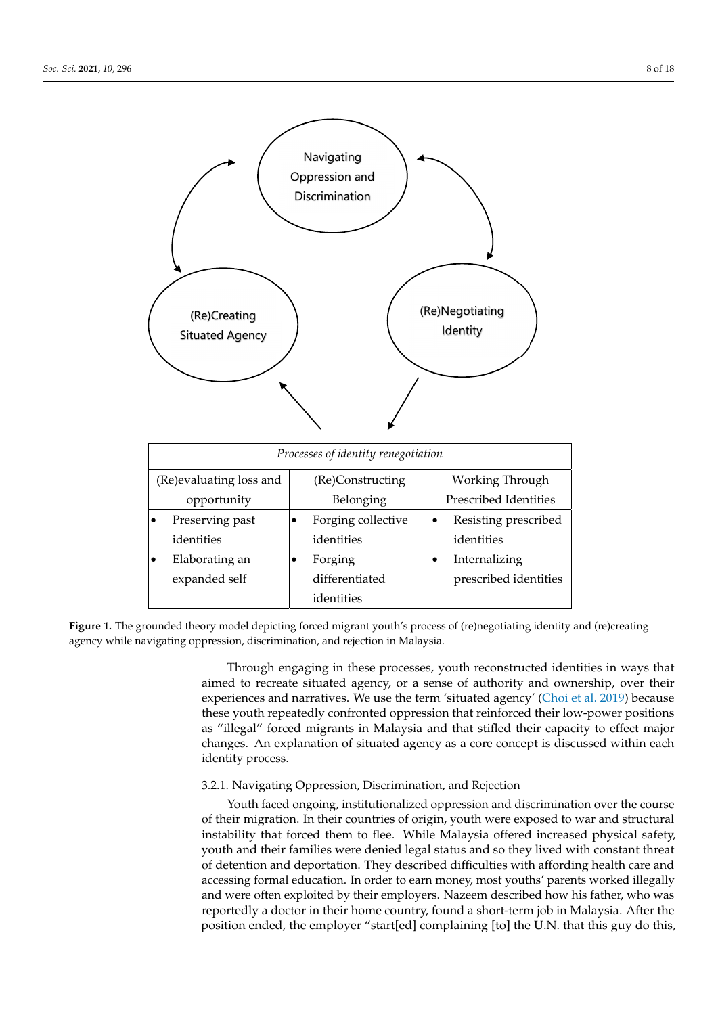<span id="page-7-0"></span>

| (Re)Creating<br><b>Situated Agency</b> | Navigating<br>Oppression and<br>Discrimination | (Re)Negotiating<br>Identity       |  |  |  |  |
|----------------------------------------|------------------------------------------------|-----------------------------------|--|--|--|--|
| Processes of identity renegotiation    |                                                |                                   |  |  |  |  |
| (Re)evaluating loss and                | (Re)Constructing                               | Working Through                   |  |  |  |  |
| opportunity                            | Belonging                                      | Prescribed Identities             |  |  |  |  |
| Preserving past                        | Forging collective                             | Resisting prescribed<br>$\bullet$ |  |  |  |  |
| identities                             | identities                                     | identities                        |  |  |  |  |
| Elaborating an                         | Forging                                        | Internalizing                     |  |  |  |  |
| expanded self                          | differentiated                                 | prescribed identities             |  |  |  |  |
|                                        | identities                                     |                                   |  |  |  |  |

changes. An explanation of situation of situation of situation of situation of situation  $\mathcal{L}$ 

Figure 1. The grounded theory model depicting forced migrant youth's process of (re)negotiating identity and (re)creating agency while navigating oppression, discrimination, and rejection in Malaysia.

Malaysia.

Through engaging in these processes, youth reconstructed identities in ways that aimed to recreate situated agency, or a sense of authority and ownership, over their experiences and narratives. We use the term 'situated agency' [\(Choi et al.](#page-15-6) [2019\)](#page-15-6) because these youth repeatedly confronted oppression that reinforced their low-power positions as "illegal" forced migrants in Malaysia and that stifled their capacity to effect major changes. An explanation of situated agency as a core concept is discussed within each identity process.

# 3.2.1. Navigating Oppression, Discrimination, and Rejection

Youth faced ongoing, institutionalized oppression and discrimination over the course of their migration. In their countries of origin, youth were exposed to war and structural instability that forced them to flee. While Malaysia offered increased physical safety, youth and their families were denied legal status and so they lived with constant threat of detention and deportation. They described difficulties with affording health care and accessing formal education. In order to earn money, most youths' parents worked illegally and were often exploited by their employers. Nazeem described how his father, who was reportedly a doctor in their home country, found a short-term job in Malaysia. After the position ended, the employer "start[ed] complaining [to] the U.N. that this guy do this,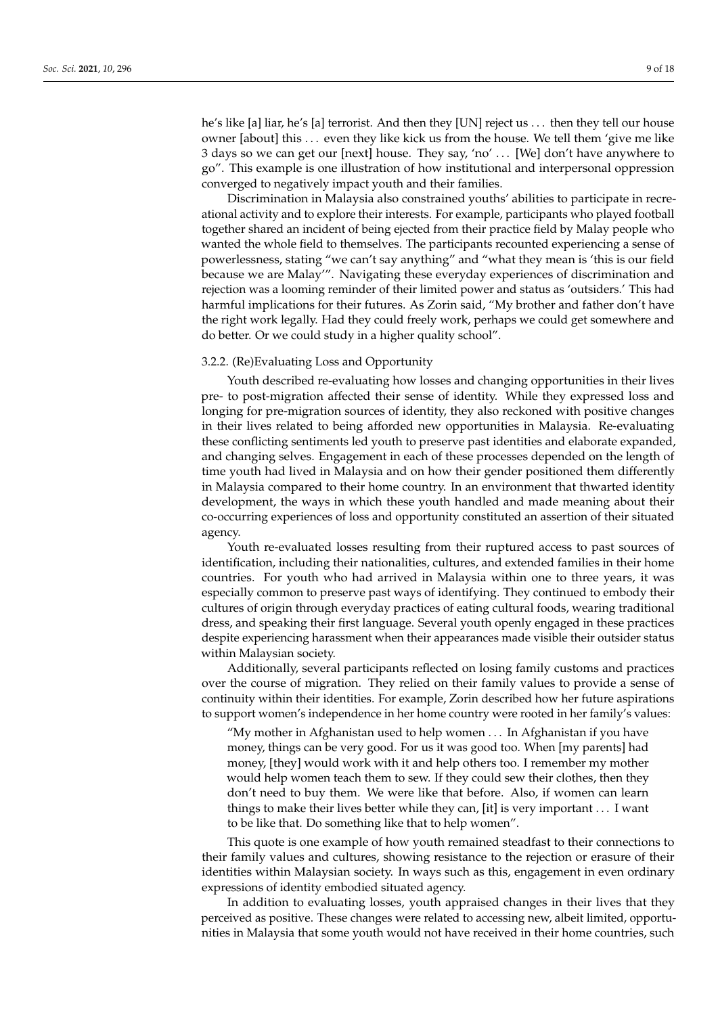he's like [a] liar, he's [a] terrorist. And then they [UN] reject us . . . then they tell our house owner [about] this . . . even they like kick us from the house. We tell them 'give me like 3 days so we can get our [next] house. They say, 'no' . . . [We] don't have anywhere to go". This example is one illustration of how institutional and interpersonal oppression converged to negatively impact youth and their families.

Discrimination in Malaysia also constrained youths' abilities to participate in recreational activity and to explore their interests. For example, participants who played football together shared an incident of being ejected from their practice field by Malay people who wanted the whole field to themselves. The participants recounted experiencing a sense of powerlessness, stating "we can't say anything" and "what they mean is 'this is our field because we are Malay'". Navigating these everyday experiences of discrimination and rejection was a looming reminder of their limited power and status as 'outsiders.' This had harmful implications for their futures. As Zorin said, "My brother and father don't have the right work legally. Had they could freely work, perhaps we could get somewhere and do better. Or we could study in a higher quality school".

## 3.2.2. (Re)Evaluating Loss and Opportunity

Youth described re-evaluating how losses and changing opportunities in their lives pre- to post-migration affected their sense of identity. While they expressed loss and longing for pre-migration sources of identity, they also reckoned with positive changes in their lives related to being afforded new opportunities in Malaysia. Re-evaluating these conflicting sentiments led youth to preserve past identities and elaborate expanded, and changing selves. Engagement in each of these processes depended on the length of time youth had lived in Malaysia and on how their gender positioned them differently in Malaysia compared to their home country. In an environment that thwarted identity development, the ways in which these youth handled and made meaning about their co-occurring experiences of loss and opportunity constituted an assertion of their situated agency.

Youth re-evaluated losses resulting from their ruptured access to past sources of identification, including their nationalities, cultures, and extended families in their home countries. For youth who had arrived in Malaysia within one to three years, it was especially common to preserve past ways of identifying. They continued to embody their cultures of origin through everyday practices of eating cultural foods, wearing traditional dress, and speaking their first language. Several youth openly engaged in these practices despite experiencing harassment when their appearances made visible their outsider status within Malaysian society.

Additionally, several participants reflected on losing family customs and practices over the course of migration. They relied on their family values to provide a sense of continuity within their identities. For example, Zorin described how her future aspirations to support women's independence in her home country were rooted in her family's values:

"My mother in Afghanistan used to help women . . . In Afghanistan if you have money, things can be very good. For us it was good too. When [my parents] had money, [they] would work with it and help others too. I remember my mother would help women teach them to sew. If they could sew their clothes, then they don't need to buy them. We were like that before. Also, if women can learn things to make their lives better while they can, [it] is very important . . . I want to be like that. Do something like that to help women".

This quote is one example of how youth remained steadfast to their connections to their family values and cultures, showing resistance to the rejection or erasure of their identities within Malaysian society. In ways such as this, engagement in even ordinary expressions of identity embodied situated agency.

In addition to evaluating losses, youth appraised changes in their lives that they perceived as positive. These changes were related to accessing new, albeit limited, opportunities in Malaysia that some youth would not have received in their home countries, such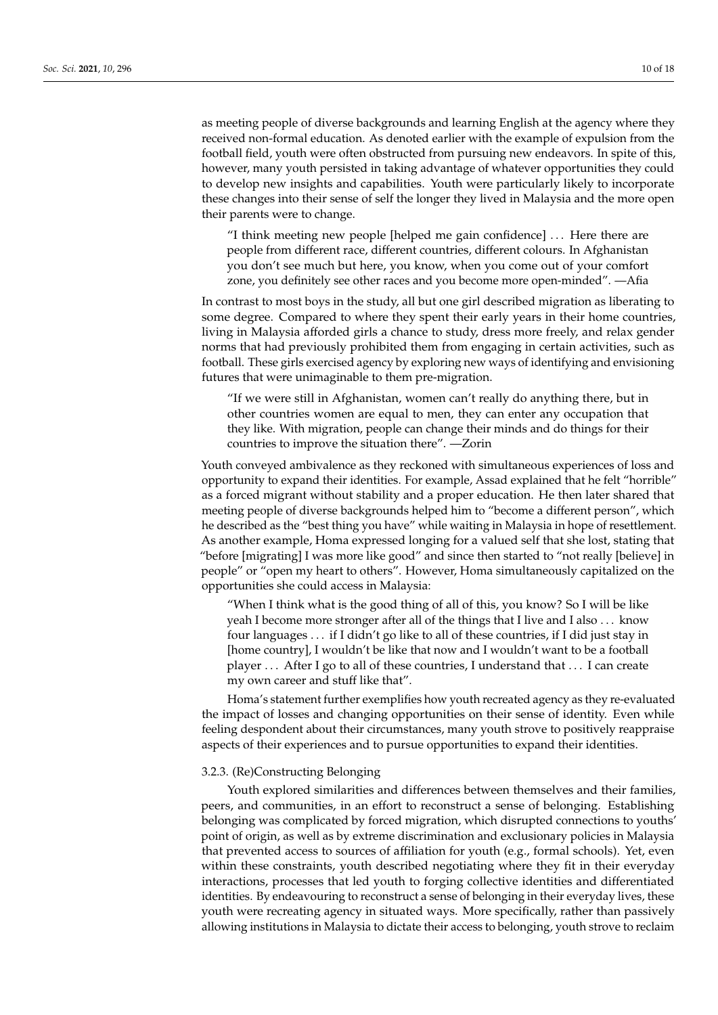as meeting people of diverse backgrounds and learning English at the agency where they received non-formal education. As denoted earlier with the example of expulsion from the football field, youth were often obstructed from pursuing new endeavors. In spite of this, however, many youth persisted in taking advantage of whatever opportunities they could to develop new insights and capabilities. Youth were particularly likely to incorporate these changes into their sense of self the longer they lived in Malaysia and the more open their parents were to change.

"I think meeting new people [helped me gain confidence] . . . Here there are people from different race, different countries, different colours. In Afghanistan you don't see much but here, you know, when you come out of your comfort zone, you definitely see other races and you become more open-minded". —Afia

In contrast to most boys in the study, all but one girl described migration as liberating to some degree. Compared to where they spent their early years in their home countries, living in Malaysia afforded girls a chance to study, dress more freely, and relax gender norms that had previously prohibited them from engaging in certain activities, such as football. These girls exercised agency by exploring new ways of identifying and envisioning futures that were unimaginable to them pre-migration.

"If we were still in Afghanistan, women can't really do anything there, but in other countries women are equal to men, they can enter any occupation that they like. With migration, people can change their minds and do things for their countries to improve the situation there". —Zorin

Youth conveyed ambivalence as they reckoned with simultaneous experiences of loss and opportunity to expand their identities. For example, Assad explained that he felt "horrible" as a forced migrant without stability and a proper education. He then later shared that meeting people of diverse backgrounds helped him to "become a different person", which he described as the "best thing you have" while waiting in Malaysia in hope of resettlement. As another example, Homa expressed longing for a valued self that she lost, stating that "before [migrating] I was more like good" and since then started to "not really [believe] in people" or "open my heart to others". However, Homa simultaneously capitalized on the opportunities she could access in Malaysia:

"When I think what is the good thing of all of this, you know? So I will be like yeah I become more stronger after all of the things that I live and I also . . . know four languages . . . if I didn't go like to all of these countries, if I did just stay in [home country], I wouldn't be like that now and I wouldn't want to be a football player . . . After I go to all of these countries, I understand that . . . I can create my own career and stuff like that".

Homa's statement further exemplifies how youth recreated agency as they re-evaluated the impact of losses and changing opportunities on their sense of identity. Even while feeling despondent about their circumstances, many youth strove to positively reappraise aspects of their experiences and to pursue opportunities to expand their identities.

# 3.2.3. (Re)Constructing Belonging

Youth explored similarities and differences between themselves and their families, peers, and communities, in an effort to reconstruct a sense of belonging. Establishing belonging was complicated by forced migration, which disrupted connections to youths' point of origin, as well as by extreme discrimination and exclusionary policies in Malaysia that prevented access to sources of affiliation for youth (e.g., formal schools). Yet, even within these constraints, youth described negotiating where they fit in their everyday interactions, processes that led youth to forging collective identities and differentiated identities. By endeavouring to reconstruct a sense of belonging in their everyday lives, these youth were recreating agency in situated ways. More specifically, rather than passively allowing institutions in Malaysia to dictate their access to belonging, youth strove to reclaim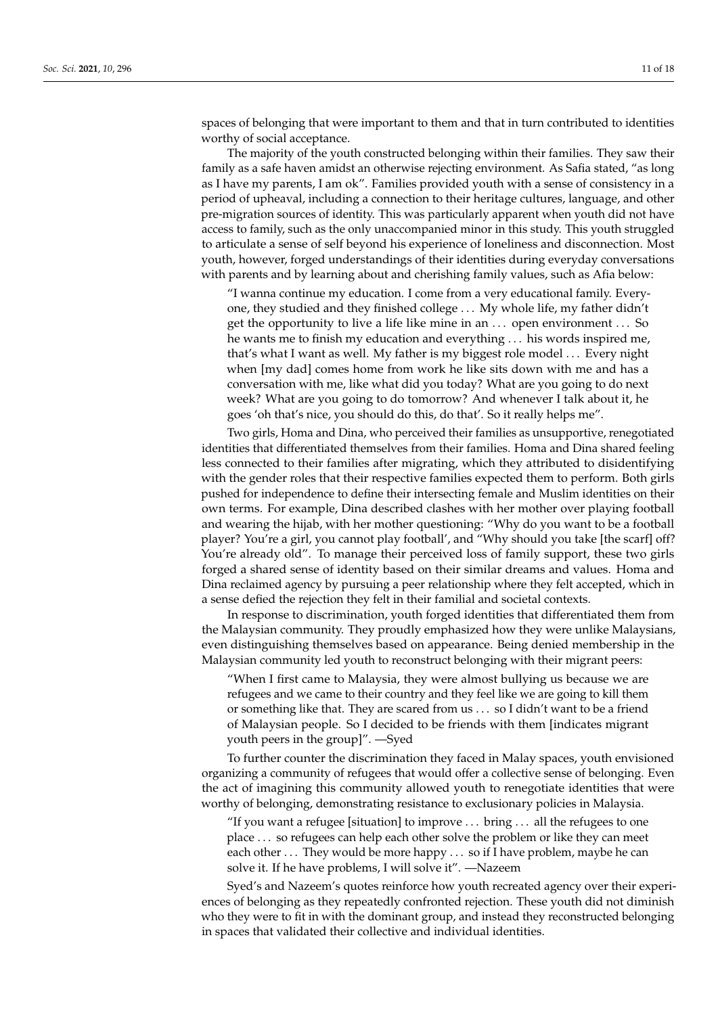spaces of belonging that were important to them and that in turn contributed to identities worthy of social acceptance.

The majority of the youth constructed belonging within their families. They saw their family as a safe haven amidst an otherwise rejecting environment. As Safia stated, "as long as I have my parents, I am ok". Families provided youth with a sense of consistency in a period of upheaval, including a connection to their heritage cultures, language, and other pre-migration sources of identity. This was particularly apparent when youth did not have access to family, such as the only unaccompanied minor in this study. This youth struggled to articulate a sense of self beyond his experience of loneliness and disconnection. Most youth, however, forged understandings of their identities during everyday conversations with parents and by learning about and cherishing family values, such as Afia below:

"I wanna continue my education. I come from a very educational family. Everyone, they studied and they finished college . . . My whole life, my father didn't get the opportunity to live a life like mine in an . . . open environment . . . So he wants me to finish my education and everything . . . his words inspired me, that's what I want as well. My father is my biggest role model . . . Every night when [my dad] comes home from work he like sits down with me and has a conversation with me, like what did you today? What are you going to do next week? What are you going to do tomorrow? And whenever I talk about it, he goes 'oh that's nice, you should do this, do that'. So it really helps me".

Two girls, Homa and Dina, who perceived their families as unsupportive, renegotiated identities that differentiated themselves from their families. Homa and Dina shared feeling less connected to their families after migrating, which they attributed to disidentifying with the gender roles that their respective families expected them to perform. Both girls pushed for independence to define their intersecting female and Muslim identities on their own terms. For example, Dina described clashes with her mother over playing football and wearing the hijab, with her mother questioning: "Why do you want to be a football player? You're a girl, you cannot play football', and "Why should you take [the scarf] off? You're already old". To manage their perceived loss of family support, these two girls forged a shared sense of identity based on their similar dreams and values. Homa and Dina reclaimed agency by pursuing a peer relationship where they felt accepted, which in a sense defied the rejection they felt in their familial and societal contexts.

In response to discrimination, youth forged identities that differentiated them from the Malaysian community. They proudly emphasized how they were unlike Malaysians, even distinguishing themselves based on appearance. Being denied membership in the Malaysian community led youth to reconstruct belonging with their migrant peers:

"When I first came to Malaysia, they were almost bullying us because we are refugees and we came to their country and they feel like we are going to kill them or something like that. They are scared from us . . . so I didn't want to be a friend of Malaysian people. So I decided to be friends with them [indicates migrant youth peers in the group]". —Syed

To further counter the discrimination they faced in Malay spaces, youth envisioned organizing a community of refugees that would offer a collective sense of belonging. Even the act of imagining this community allowed youth to renegotiate identities that were worthy of belonging, demonstrating resistance to exclusionary policies in Malaysia.

"If you want a refugee [situation] to improve . . . bring . . . all the refugees to one place . . . so refugees can help each other solve the problem or like they can meet each other ... They would be more happy ... so if I have problem, maybe he can solve it. If he have problems, I will solve it". —Nazeem

Syed's and Nazeem's quotes reinforce how youth recreated agency over their experiences of belonging as they repeatedly confronted rejection. These youth did not diminish who they were to fit in with the dominant group, and instead they reconstructed belonging in spaces that validated their collective and individual identities.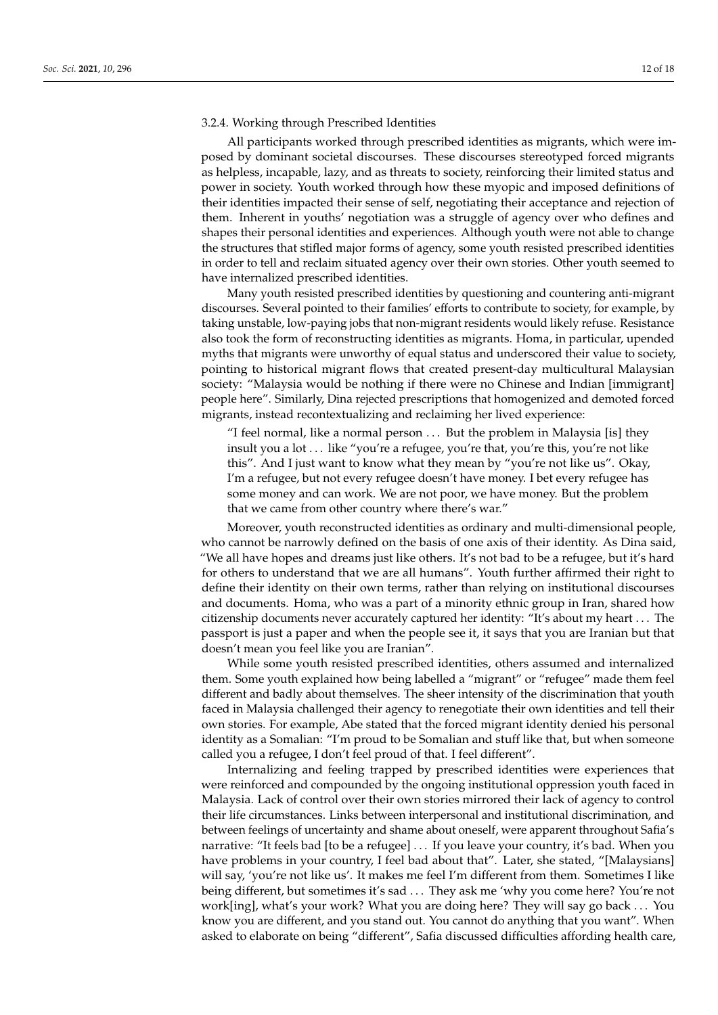#### 3.2.4. Working through Prescribed Identities

All participants worked through prescribed identities as migrants, which were imposed by dominant societal discourses. These discourses stereotyped forced migrants as helpless, incapable, lazy, and as threats to society, reinforcing their limited status and power in society. Youth worked through how these myopic and imposed definitions of their identities impacted their sense of self, negotiating their acceptance and rejection of them. Inherent in youths' negotiation was a struggle of agency over who defines and shapes their personal identities and experiences. Although youth were not able to change the structures that stifled major forms of agency, some youth resisted prescribed identities in order to tell and reclaim situated agency over their own stories. Other youth seemed to have internalized prescribed identities.

Many youth resisted prescribed identities by questioning and countering anti-migrant discourses. Several pointed to their families' efforts to contribute to society, for example, by taking unstable, low-paying jobs that non-migrant residents would likely refuse. Resistance also took the form of reconstructing identities as migrants. Homa, in particular, upended myths that migrants were unworthy of equal status and underscored their value to society, pointing to historical migrant flows that created present-day multicultural Malaysian society: "Malaysia would be nothing if there were no Chinese and Indian [immigrant] people here". Similarly, Dina rejected prescriptions that homogenized and demoted forced migrants, instead recontextualizing and reclaiming her lived experience:

"I feel normal, like a normal person . . . But the problem in Malaysia [is] they insult you a lot . . . like "you're a refugee, you're that, you're this, you're not like this". And I just want to know what they mean by "you're not like us". Okay, I'm a refugee, but not every refugee doesn't have money. I bet every refugee has some money and can work. We are not poor, we have money. But the problem that we came from other country where there's war."

Moreover, youth reconstructed identities as ordinary and multi-dimensional people, who cannot be narrowly defined on the basis of one axis of their identity. As Dina said, "We all have hopes and dreams just like others. It's not bad to be a refugee, but it's hard for others to understand that we are all humans". Youth further affirmed their right to define their identity on their own terms, rather than relying on institutional discourses and documents. Homa, who was a part of a minority ethnic group in Iran, shared how citizenship documents never accurately captured her identity: "It's about my heart . . . The passport is just a paper and when the people see it, it says that you are Iranian but that doesn't mean you feel like you are Iranian".

While some youth resisted prescribed identities, others assumed and internalized them. Some youth explained how being labelled a "migrant" or "refugee" made them feel different and badly about themselves. The sheer intensity of the discrimination that youth faced in Malaysia challenged their agency to renegotiate their own identities and tell their own stories. For example, Abe stated that the forced migrant identity denied his personal identity as a Somalian: "I'm proud to be Somalian and stuff like that, but when someone called you a refugee, I don't feel proud of that. I feel different".

Internalizing and feeling trapped by prescribed identities were experiences that were reinforced and compounded by the ongoing institutional oppression youth faced in Malaysia. Lack of control over their own stories mirrored their lack of agency to control their life circumstances. Links between interpersonal and institutional discrimination, and between feelings of uncertainty and shame about oneself, were apparent throughout Safia's narrative: "It feels bad [to be a refugee] . . . If you leave your country, it's bad. When you have problems in your country, I feel bad about that". Later, she stated, "[Malaysians] will say, 'you're not like us'. It makes me feel I'm different from them. Sometimes I like being different, but sometimes it's sad . . . They ask me 'why you come here? You're not work[ing], what's your work? What you are doing here? They will say go back . . . You know you are different, and you stand out. You cannot do anything that you want". When asked to elaborate on being "different", Safia discussed difficulties affording health care,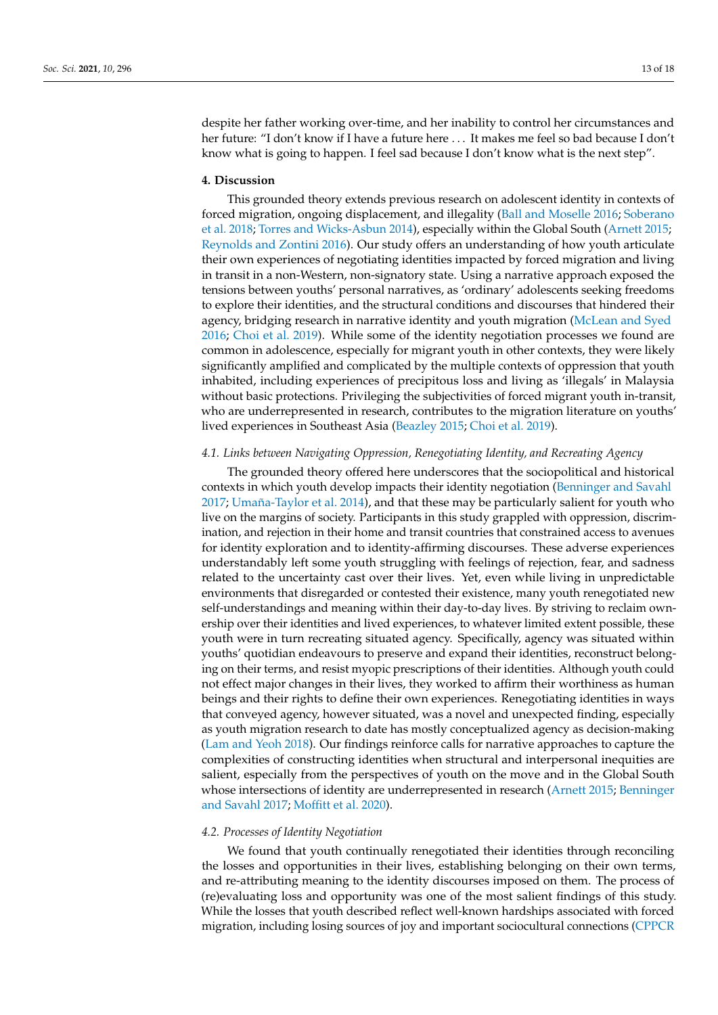despite her father working over-time, and her inability to control her circumstances and her future: "I don't know if I have a future here . . . It makes me feel so bad because I don't know what is going to happen. I feel sad because I don't know what is the next step".

# **4. Discussion**

This grounded theory extends previous research on adolescent identity in contexts of forced migration, ongoing displacement, and illegality [\(Ball and Moselle](#page-15-14) [2016;](#page-15-14) [Soberano](#page-17-8) [et al.](#page-17-8) [2018;](#page-17-8) [Torres and Wicks-Asbun](#page-17-9) [2014\)](#page-17-9), especially within the Global South [\(Arnett](#page-15-8) [2015;](#page-15-8) [Reynolds and Zontini](#page-17-11) [2016\)](#page-17-11). Our study offers an understanding of how youth articulate their own experiences of negotiating identities impacted by forced migration and living in transit in a non-Western, non-signatory state. Using a narrative approach exposed the tensions between youths' personal narratives, as 'ordinary' adolescents seeking freedoms to explore their identities, and the structural conditions and discourses that hindered their agency, bridging research in narrative identity and youth migration [\(McLean and Syed](#page-16-11) [2016;](#page-16-11) [Choi et al.](#page-15-6) [2019\)](#page-15-6). While some of the identity negotiation processes we found are common in adolescence, especially for migrant youth in other contexts, they were likely significantly amplified and complicated by the multiple contexts of oppression that youth inhabited, including experiences of precipitous loss and living as 'illegals' in Malaysia without basic protections. Privileging the subjectivities of forced migrant youth in-transit, who are underrepresented in research, contributes to the migration literature on youths' lived experiences in Southeast Asia [\(Beazley](#page-15-15) [2015;](#page-15-15) [Choi et al.](#page-15-6) [2019\)](#page-15-6).

# *4.1. Links between Navigating Oppression, Renegotiating Identity, and Recreating Agency*

The grounded theory offered here underscores that the sociopolitical and historical contexts in which youth develop impacts their identity negotiation [\(Benninger and Savahl](#page-15-16) [2017;](#page-15-16) [Umaña-Taylor et al.](#page-17-14) [2014\)](#page-17-14), and that these may be particularly salient for youth who live on the margins of society. Participants in this study grappled with oppression, discrimination, and rejection in their home and transit countries that constrained access to avenues for identity exploration and to identity-affirming discourses. These adverse experiences understandably left some youth struggling with feelings of rejection, fear, and sadness related to the uncertainty cast over their lives. Yet, even while living in unpredictable environments that disregarded or contested their existence, many youth renegotiated new self-understandings and meaning within their day-to-day lives. By striving to reclaim ownership over their identities and lived experiences, to whatever limited extent possible, these youth were in turn recreating situated agency. Specifically, agency was situated within youths' quotidian endeavours to preserve and expand their identities, reconstruct belonging on their terms, and resist myopic prescriptions of their identities. Although youth could not effect major changes in their lives, they worked to affirm their worthiness as human beings and their rights to define their own experiences. Renegotiating identities in ways that conveyed agency, however situated, was a novel and unexpected finding, especially as youth migration research to date has mostly conceptualized agency as decision-making [\(Lam and Yeoh](#page-16-22) [2018\)](#page-16-22). Our findings reinforce calls for narrative approaches to capture the complexities of constructing identities when structural and interpersonal inequities are salient, especially from the perspectives of youth on the move and in the Global South whose intersections of identity are underrepresented in research [\(Arnett](#page-15-8) [2015;](#page-15-8) [Benninger](#page-15-16) [and Savahl](#page-15-16) [2017;](#page-15-16) [Moffitt et al.](#page-16-25) [2020\)](#page-16-25).

#### *4.2. Processes of Identity Negotiation*

We found that youth continually renegotiated their identities through reconciling the losses and opportunities in their lives, establishing belonging on their own terms, and re-attributing meaning to the identity discourses imposed on them. The process of (re)evaluating loss and opportunity was one of the most salient findings of this study. While the losses that youth described reflect well-known hardships associated with forced migration, including losing sources of joy and important sociocultural connections [\(CPPCR](#page-15-17)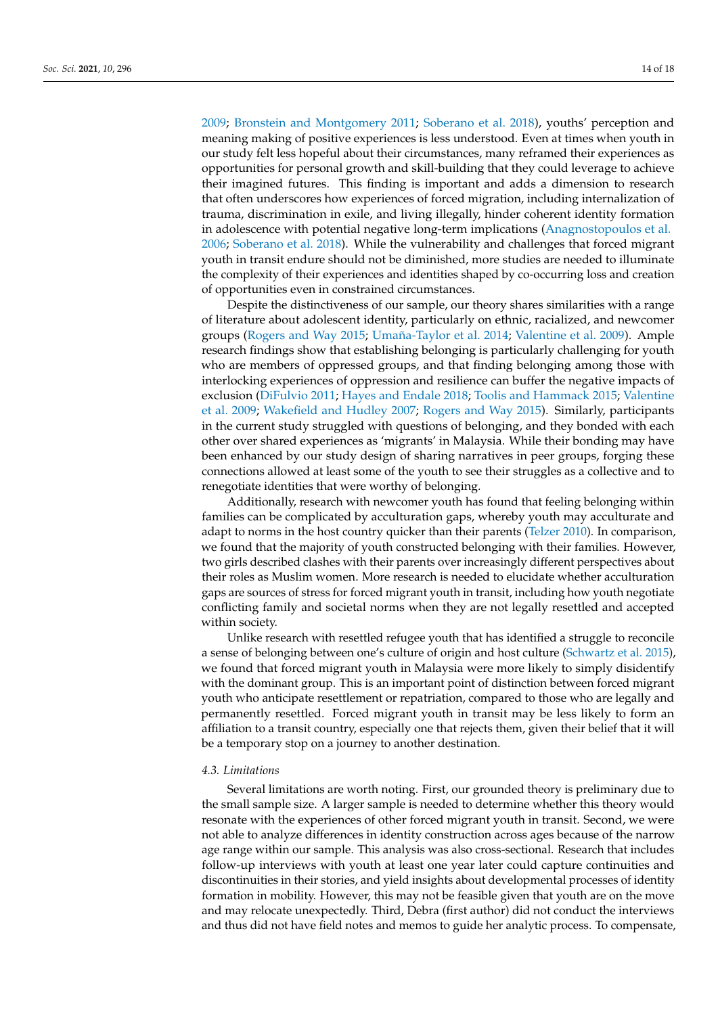[2009;](#page-15-17) [Bronstein and Montgomery](#page-15-18) [2011;](#page-15-18) [Soberano et al.](#page-17-8) [2018\)](#page-17-8), youths' perception and meaning making of positive experiences is less understood. Even at times when youth in our study felt less hopeful about their circumstances, many reframed their experiences as opportunities for personal growth and skill-building that they could leverage to achieve their imagined futures. This finding is important and adds a dimension to research that often underscores how experiences of forced migration, including internalization of trauma, discrimination in exile, and living illegally, hinder coherent identity formation in adolescence with potential negative long-term implications [\(Anagnostopoulos et al.](#page-15-19) [2006;](#page-15-19) [Soberano et al.](#page-17-8) [2018\)](#page-17-8). While the vulnerability and challenges that forced migrant youth in transit endure should not be diminished, more studies are needed to illuminate the complexity of their experiences and identities shaped by co-occurring loss and creation of opportunities even in constrained circumstances.

Despite the distinctiveness of our sample, our theory shares similarities with a range of literature about adolescent identity, particularly on ethnic, racialized, and newcomer groups [\(Rogers and Way](#page-17-15) [2015;](#page-17-15) [Umaña-Taylor et al.](#page-17-14) [2014;](#page-17-14) [Valentine et al.](#page-17-16) [2009\)](#page-17-16). Ample research findings show that establishing belonging is particularly challenging for youth who are members of oppressed groups, and that finding belonging among those with interlocking experiences of oppression and resilience can buffer the negative impacts of exclusion [\(DiFulvio](#page-15-20) [2011;](#page-15-20) [Hayes and Endale](#page-16-26) [2018;](#page-16-26) [Toolis and Hammack](#page-17-17) [2015;](#page-17-17) [Valentine](#page-17-16) [et al.](#page-17-16) [2009;](#page-17-16) [Wakefield and Hudley](#page-17-18) [2007;](#page-17-18) [Rogers and Way](#page-17-15) [2015\)](#page-17-15). Similarly, participants in the current study struggled with questions of belonging, and they bonded with each other over shared experiences as 'migrants' in Malaysia. While their bonding may have been enhanced by our study design of sharing narratives in peer groups, forging these connections allowed at least some of the youth to see their struggles as a collective and to renegotiate identities that were worthy of belonging.

Additionally, research with newcomer youth has found that feeling belonging within families can be complicated by acculturation gaps, whereby youth may acculturate and adapt to norms in the host country quicker than their parents [\(Telzer](#page-17-19) [2010\)](#page-17-19). In comparison, we found that the majority of youth constructed belonging with their families. However, two girls described clashes with their parents over increasingly different perspectives about their roles as Muslim women. More research is needed to elucidate whether acculturation gaps are sources of stress for forced migrant youth in transit, including how youth negotiate conflicting family and societal norms when they are not legally resettled and accepted within society.

Unlike research with resettled refugee youth that has identified a struggle to reconcile a sense of belonging between one's culture of origin and host culture [\(Schwartz et al.](#page-17-20) [2015\)](#page-17-20), we found that forced migrant youth in Malaysia were more likely to simply disidentify with the dominant group. This is an important point of distinction between forced migrant youth who anticipate resettlement or repatriation, compared to those who are legally and permanently resettled. Forced migrant youth in transit may be less likely to form an affiliation to a transit country, especially one that rejects them, given their belief that it will be a temporary stop on a journey to another destination.

# *4.3. Limitations*

Several limitations are worth noting. First, our grounded theory is preliminary due to the small sample size. A larger sample is needed to determine whether this theory would resonate with the experiences of other forced migrant youth in transit. Second, we were not able to analyze differences in identity construction across ages because of the narrow age range within our sample. This analysis was also cross-sectional. Research that includes follow-up interviews with youth at least one year later could capture continuities and discontinuities in their stories, and yield insights about developmental processes of identity formation in mobility. However, this may not be feasible given that youth are on the move and may relocate unexpectedly. Third, Debra (first author) did not conduct the interviews and thus did not have field notes and memos to guide her analytic process. To compensate,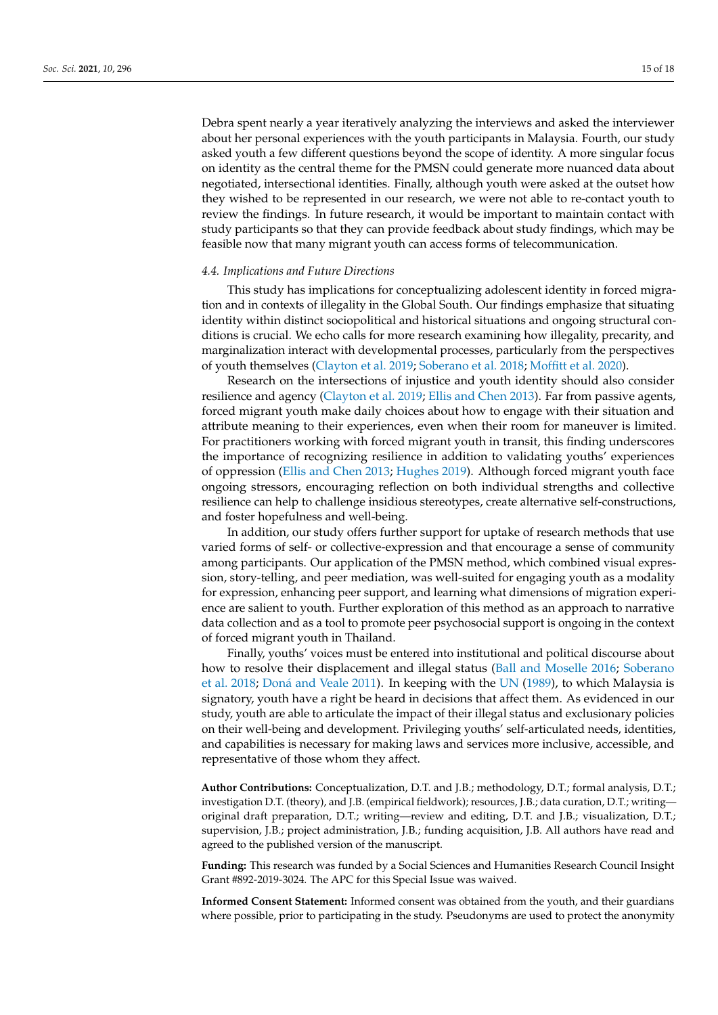Debra spent nearly a year iteratively analyzing the interviews and asked the interviewer about her personal experiences with the youth participants in Malaysia. Fourth, our study asked youth a few different questions beyond the scope of identity. A more singular focus on identity as the central theme for the PMSN could generate more nuanced data about negotiated, intersectional identities. Finally, although youth were asked at the outset how they wished to be represented in our research, we were not able to re-contact youth to review the findings. In future research, it would be important to maintain contact with study participants so that they can provide feedback about study findings, which may be feasible now that many migrant youth can access forms of telecommunication.

# *4.4. Implications and Future Directions*

This study has implications for conceptualizing adolescent identity in forced migration and in contexts of illegality in the Global South. Our findings emphasize that situating identity within distinct sociopolitical and historical situations and ongoing structural conditions is crucial. We echo calls for more research examining how illegality, precarity, and marginalization interact with developmental processes, particularly from the perspectives of youth themselves [\(Clayton et al.](#page-15-21) [2019;](#page-15-21) [Soberano et al.](#page-17-8) [2018;](#page-17-8) [Moffitt et al.](#page-16-25) [2020\)](#page-16-25).

Research on the intersections of injustice and youth identity should also consider resilience and agency [\(Clayton et al.](#page-15-21) [2019;](#page-15-21) [Ellis and Chen](#page-16-14) [2013\)](#page-16-14). Far from passive agents, forced migrant youth make daily choices about how to engage with their situation and attribute meaning to their experiences, even when their room for maneuver is limited. For practitioners working with forced migrant youth in transit, this finding underscores the importance of recognizing resilience in addition to validating youths' experiences of oppression [\(Ellis and Chen](#page-16-14) [2013;](#page-16-14) [Hughes](#page-16-27) [2019\)](#page-16-27). Although forced migrant youth face ongoing stressors, encouraging reflection on both individual strengths and collective resilience can help to challenge insidious stereotypes, create alternative self-constructions, and foster hopefulness and well-being.

In addition, our study offers further support for uptake of research methods that use varied forms of self- or collective-expression and that encourage a sense of community among participants. Our application of the PMSN method, which combined visual expression, story-telling, and peer mediation, was well-suited for engaging youth as a modality for expression, enhancing peer support, and learning what dimensions of migration experience are salient to youth. Further exploration of this method as an approach to narrative data collection and as a tool to promote peer psychosocial support is ongoing in the context of forced migrant youth in Thailand.

Finally, youths' voices must be entered into institutional and political discourse about how to resolve their displacement and illegal status [\(Ball and Moselle](#page-15-14) [2016;](#page-15-14) [Soberano](#page-17-8) [et al.](#page-17-8) [2018;](#page-17-8) Doná [and Veale](#page-15-2) [2011\)](#page-15-2). In keeping with the [UN](#page-17-21) [\(1989\)](#page-17-21), to which Malaysia is signatory, youth have a right be heard in decisions that affect them. As evidenced in our study, youth are able to articulate the impact of their illegal status and exclusionary policies on their well-being and development. Privileging youths' self-articulated needs, identities, and capabilities is necessary for making laws and services more inclusive, accessible, and representative of those whom they affect.

**Author Contributions:** Conceptualization, D.T. and J.B.; methodology, D.T.; formal analysis, D.T.; investigation D.T. (theory), and J.B. (empirical fieldwork); resources, J.B.; data curation, D.T.; writing original draft preparation, D.T.; writing—review and editing, D.T. and J.B.; visualization, D.T.; supervision, J.B.; project administration, J.B.; funding acquisition, J.B. All authors have read and agreed to the published version of the manuscript.

**Funding:** This research was funded by a Social Sciences and Humanities Research Council Insight Grant #892-2019-3024. The APC for this Special Issue was waived.

**Informed Consent Statement:** Informed consent was obtained from the youth, and their guardians where possible, prior to participating in the study. Pseudonyms are used to protect the anonymity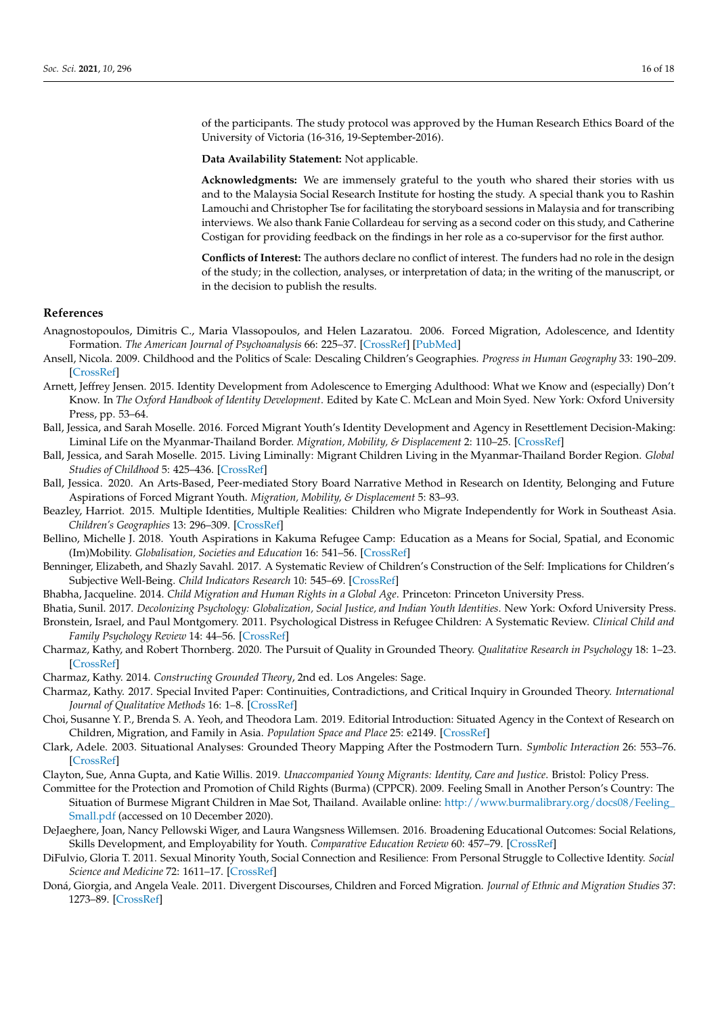of the participants. The study protocol was approved by the Human Research Ethics Board of the University of Victoria (16-316, 19-September-2016).

**Data Availability Statement:** Not applicable.

**Acknowledgments:** We are immensely grateful to the youth who shared their stories with us and to the Malaysia Social Research Institute for hosting the study. A special thank you to Rashin Lamouchi and Christopher Tse for facilitating the storyboard sessions in Malaysia and for transcribing interviews. We also thank Fanie Collardeau for serving as a second coder on this study, and Catherine Costigan for providing feedback on the findings in her role as a co-supervisor for the first author.

**Conflicts of Interest:** The authors declare no conflict of interest. The funders had no role in the design of the study; in the collection, analyses, or interpretation of data; in the writing of the manuscript, or in the decision to publish the results.

#### **References**

- <span id="page-15-19"></span>Anagnostopoulos, Dimitris C., Maria Vlassopoulos, and Helen Lazaratou. 2006. Forced Migration, Adolescence, and Identity Formation. *The American Journal of Psychoanalysis* 66: 225–37. [\[CrossRef\]](http://doi.org/10.1007/s11231-006-9019-1) [\[PubMed\]](http://www.ncbi.nlm.nih.gov/pubmed/16964539)
- <span id="page-15-7"></span>Ansell, Nicola. 2009. Childhood and the Politics of Scale: Descaling Children's Geographies. *Progress in Human Geography* 33: 190–209. [\[CrossRef\]](http://doi.org/10.1177/0309132508090980)
- <span id="page-15-8"></span>Arnett, Jeffrey Jensen. 2015. Identity Development from Adolescence to Emerging Adulthood: What we Know and (especially) Don't Know. In *The Oxford Handbook of Identity Development*. Edited by Kate C. McLean and Moin Syed. New York: Oxford University Press, pp. 53–64.
- <span id="page-15-14"></span>Ball, Jessica, and Sarah Moselle. 2016. Forced Migrant Youth's Identity Development and Agency in Resettlement Decision-Making: Liminal Life on the Myanmar-Thailand Border. *Migration, Mobility, & Displacement* 2: 110–25. [\[CrossRef\]](http://doi.org/10.18357/mmd22201616157)
- <span id="page-15-0"></span>Ball, Jessica, and Sarah Moselle. 2015. Living Liminally: Migrant Children Living in the Myanmar-Thailand Border Region. *Global Studies of Childhood* 5: 425–436. [\[CrossRef\]](http://doi.org/10.1177/2043610615613883)
- <span id="page-15-9"></span>Ball, Jessica. 2020. An Arts-Based, Peer-mediated Story Board Narrative Method in Research on Identity, Belonging and Future Aspirations of Forced Migrant Youth. *Migration, Mobility, & Displacement* 5: 83–93.
- <span id="page-15-15"></span>Beazley, Harriot. 2015. Multiple Identities, Multiple Realities: Children who Migrate Independently for Work in Southeast Asia. *Children's Geographies* 13: 296–309. [\[CrossRef\]](http://doi.org/10.1080/14733285.2015.972620)
- <span id="page-15-4"></span>Bellino, Michelle J. 2018. Youth Aspirations in Kakuma Refugee Camp: Education as a Means for Social, Spatial, and Economic (Im)Mobility. *Globalisation, Societies and Education* 16: 541–56. [\[CrossRef\]](http://doi.org/10.1080/14767724.2018.1512049)
- <span id="page-15-16"></span>Benninger, Elizabeth, and Shazly Savahl. 2017. A Systematic Review of Children's Construction of the Self: Implications for Children's Subjective Well-Being. *Child Indicators Research* 10: 545–69. [\[CrossRef\]](http://doi.org/10.1007/s12187-016-9382-2)
- <span id="page-15-1"></span>Bhabha, Jacqueline. 2014. *Child Migration and Human Rights in a Global Age*. Princeton: Princeton University Press.
- <span id="page-15-18"></span><span id="page-15-3"></span>Bhatia, Sunil. 2017. *Decolonizing Psychology: Globalization, Social Justice, and Indian Youth Identities*. New York: Oxford University Press. Bronstein, Israel, and Paul Montgomery. 2011. Psychological Distress in Refugee Children: A Systematic Review. *Clinical Child and Family Psychology Review* 14: 44–56. [\[CrossRef\]](http://doi.org/10.1007/s10567-010-0081-0)
- <span id="page-15-11"></span>Charmaz, Kathy, and Robert Thornberg. 2020. The Pursuit of Quality in Grounded Theory. *Qualitative Research in Psychology* 18: 1–23. [\[CrossRef\]](http://doi.org/10.1080/14780887.2020.1780357)
- <span id="page-15-10"></span>Charmaz, Kathy. 2014. *Constructing Grounded Theory*, 2nd ed. Los Angeles: Sage.
- <span id="page-15-12"></span>Charmaz, Kathy. 2017. Special Invited Paper: Continuities, Contradictions, and Critical Inquiry in Grounded Theory. *International Journal of Qualitative Methods* 16: 1–8. [\[CrossRef\]](http://doi.org/10.1177/1609406917719350)
- <span id="page-15-6"></span>Choi, Susanne Y. P., Brenda S. A. Yeoh, and Theodora Lam. 2019. Editorial Introduction: Situated Agency in the Context of Research on Children, Migration, and Family in Asia. *Population Space and Place* 25: e2149. [\[CrossRef\]](http://doi.org/10.1002/psp.2149)
- <span id="page-15-13"></span>Clark, Adele. 2003. Situational Analyses: Grounded Theory Mapping After the Postmodern Turn. *Symbolic Interaction* 26: 553–76. [\[CrossRef\]](http://doi.org/10.1525/si.2003.26.4.553)
- <span id="page-15-21"></span>Clayton, Sue, Anna Gupta, and Katie Willis. 2019. *Unaccompanied Young Migrants: Identity, Care and Justice*. Bristol: Policy Press.
- <span id="page-15-17"></span>Committee for the Protection and Promotion of Child Rights (Burma) (CPPCR). 2009. Feeling Small in Another Person's Country: The Situation of Burmese Migrant Children in Mae Sot, Thailand. Available online: [http://www.burmalibrary.org/docs08/Feeling\\_](http://www.burmalibrary.org/docs08/Feeling_Small.pdf) [Small.pdf](http://www.burmalibrary.org/docs08/Feeling_Small.pdf) (accessed on 10 December 2020).
- <span id="page-15-5"></span>DeJaeghere, Joan, Nancy Pellowski Wiger, and Laura Wangsness Willemsen. 2016. Broadening Educational Outcomes: Social Relations, Skills Development, and Employability for Youth. *Comparative Education Review* 60: 457–79. [\[CrossRef\]](http://doi.org/10.1086/687034)
- <span id="page-15-20"></span>DiFulvio, Gloria T. 2011. Sexual Minority Youth, Social Connection and Resilience: From Personal Struggle to Collective Identity. *Social Science and Medicine* 72: 1611–17. [\[CrossRef\]](http://doi.org/10.1016/j.socscimed.2011.02.045)
- <span id="page-15-2"></span>Doná, Giorgia, and Angela Veale. 2011. Divergent Discourses, Children and Forced Migration. *Journal of Ethnic and Migration Studies* 37: 1273–89. [\[CrossRef\]](http://doi.org/10.1080/1369183X.2011.590929)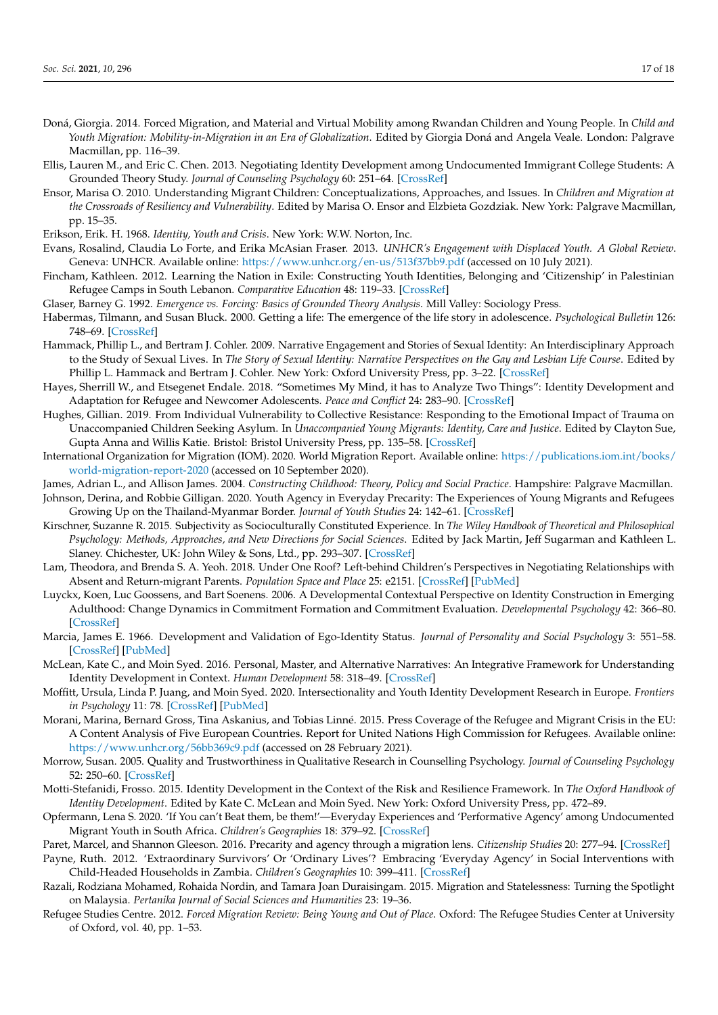- <span id="page-16-21"></span>Doná, Giorgia. 2014. Forced Migration, and Material and Virtual Mobility among Rwandan Children and Young People. In *Child and Youth Migration: Mobility-in-Migration in an Era of Globalization*. Edited by Giorgia Doná and Angela Veale. London: Palgrave Macmillan, pp. 116–39.
- <span id="page-16-14"></span>Ellis, Lauren M., and Eric C. Chen. 2013. Negotiating Identity Development among Undocumented Immigrant College Students: A Grounded Theory Study. *Journal of Counseling Psychology* 60: 251–64. [\[CrossRef\]](http://doi.org/10.1037/a0031350)
- <span id="page-16-12"></span>Ensor, Marisa O. 2010. Understanding Migrant Children: Conceptualizations, Approaches, and Issues. In *Children and Migration at the Crossroads of Resiliency and Vulnerability*. Edited by Marisa O. Ensor and Elzbieta Gozdziak. New York: Palgrave Macmillan, pp. 15–35.
- <span id="page-16-5"></span>Erikson, Erik. H. 1968. *Identity, Youth and Crisis*. New York: W.W. Norton, Inc.
- <span id="page-16-2"></span>Evans, Rosalind, Claudia Lo Forte, and Erika McAsian Fraser. 2013. *UNHCR's Engagement with Displaced Youth. A Global Review*. Geneva: UNHCR. Available online: <https://www.unhcr.org/en-us/513f37bb9.pdf> (accessed on 10 July 2021).
- <span id="page-16-15"></span>Fincham, Kathleen. 2012. Learning the Nation in Exile: Constructing Youth Identities, Belonging and 'Citizenship' in Palestinian Refugee Camps in South Lebanon. *Comparative Education* 48: 119–33. [\[CrossRef\]](http://doi.org/10.1080/03050068.2011.637767)
- <span id="page-16-23"></span>Glaser, Barney G. 1992. *Emergence vs. Forcing: Basics of Grounded Theory Analysis*. Mill Valley: Sociology Press.
- <span id="page-16-8"></span>Habermas, Tilmann, and Susan Bluck. 2000. Getting a life: The emergence of the life story in adolescence. *Psychological Bulletin* 126: 748–69. [\[CrossRef\]](http://doi.org/10.1037/0033-2909.126.5.748)
- <span id="page-16-9"></span>Hammack, Phillip L., and Bertram J. Cohler. 2009. Narrative Engagement and Stories of Sexual Identity: An Interdisciplinary Approach to the Study of Sexual Lives. In *The Story of Sexual Identity: Narrative Perspectives on the Gay and Lesbian Life Course*. Edited by Phillip L. Hammack and Bertram J. Cohler. New York: Oxford University Press, pp. 3–22. [\[CrossRef\]](http://doi.org/10.1093/acprof:oso/9780195326789.003.0001)
- <span id="page-16-26"></span>Hayes, Sherrill W., and Etsegenet Endale. 2018. "Sometimes My Mind, it has to Analyze Two Things": Identity Development and Adaptation for Refugee and Newcomer Adolescents. *Peace and Conflict* 24: 283–90. [\[CrossRef\]](http://doi.org/10.1037/pac0000315)
- <span id="page-16-27"></span>Hughes, Gillian. 2019. From Individual Vulnerability to Collective Resistance: Responding to the Emotional Impact of Trauma on Unaccompanied Children Seeking Asylum. In *Unaccompanied Young Migrants: Identity, Care and Justice*. Edited by Clayton Sue, Gupta Anna and Willis Katie. Bristol: Bristol University Press, pp. 135–58. [\[CrossRef\]](http://doi.org/10.2307/j.ctvbd8jc1.14)
- <span id="page-16-0"></span>International Organization for Migration (IOM). 2020. World Migration Report. Available online: [https://publications.iom.int/books/](https://publications.iom.int/books/world-migration-report-2020) [world-migration-report-2020](https://publications.iom.int/books/world-migration-report-2020) (accessed on 10 September 2020).
- <span id="page-16-17"></span>James, Adrian L., and Allison James. 2004. *Constructing Childhood: Theory, Policy and Social Practice*. Hampshire: Palgrave Macmillan.
- <span id="page-16-20"></span>Johnson, Derina, and Robbie Gilligan. 2020. Youth Agency in Everyday Precarity: The Experiences of Young Migrants and Refugees Growing Up on the Thailand-Myanmar Border. *Journal of Youth Studies* 24: 142–61. [\[CrossRef\]](http://doi.org/10.1080/13676261.2020.1713307)
- <span id="page-16-10"></span>Kirschner, Suzanne R. 2015. Subjectivity as Socioculturally Constituted Experience. In *The Wiley Handbook of Theoretical and Philosophical Psychology: Methods, Approaches, and New Directions for Social Sciences*. Edited by Jack Martin, Jeff Sugarman and Kathleen L. Slaney. Chichester, UK: John Wiley & Sons, Ltd., pp. 293–307. [\[CrossRef\]](http://doi.org/10.1002/9781118748213.ch19)
- <span id="page-16-22"></span>Lam, Theodora, and Brenda S. A. Yeoh. 2018. Under One Roof? Left-behind Children's Perspectives in Negotiating Relationships with Absent and Return-migrant Parents. *Population Space and Place* 25: e2151. [\[CrossRef\]](http://doi.org/10.1002/psp.2151) [\[PubMed\]](http://www.ncbi.nlm.nih.gov/pubmed/31068765)
- <span id="page-16-7"></span>Luyckx, Koen, Luc Goossens, and Bart Soenens. 2006. A Developmental Contextual Perspective on Identity Construction in Emerging Adulthood: Change Dynamics in Commitment Formation and Commitment Evaluation. *Developmental Psychology* 42: 366–80. [\[CrossRef\]](http://doi.org/10.1037/0012-1649.42.2.366)
- <span id="page-16-6"></span>Marcia, James E. 1966. Development and Validation of Ego-Identity Status. *Journal of Personality and Social Psychology* 3: 551–58. [\[CrossRef\]](http://doi.org/10.1037/h0023281) [\[PubMed\]](http://www.ncbi.nlm.nih.gov/pubmed/5939604)
- <span id="page-16-11"></span>McLean, Kate C., and Moin Syed. 2016. Personal, Master, and Alternative Narratives: An Integrative Framework for Understanding Identity Development in Context. *Human Development* 58: 318–49. [\[CrossRef\]](http://doi.org/10.1159/000445817)
- <span id="page-16-25"></span>Moffitt, Ursula, Linda P. Juang, and Moin Syed. 2020. Intersectionality and Youth Identity Development Research in Europe. *Frontiers in Psychology* 11: 78. [\[CrossRef\]](http://doi.org/10.3389/fpsyg.2020.00078) [\[PubMed\]](http://www.ncbi.nlm.nih.gov/pubmed/32082225)
- <span id="page-16-13"></span>Morani, Marina, Bernard Gross, Tina Askanius, and Tobias Linné. 2015. Press Coverage of the Refugee and Migrant Crisis in the EU: A Content Analysis of Five European Countries. Report for United Nations High Commission for Refugees. Available online: <https://www.unhcr.org/56bb369c9.pdf> (accessed on 28 February 2021).
- <span id="page-16-24"></span>Morrow, Susan. 2005. Quality and Trustworthiness in Qualitative Research in Counselling Psychology. *Journal of Counseling Psychology* 52: 250–60. [\[CrossRef\]](http://doi.org/10.1037/0022-0167.52.2.250)
- <span id="page-16-4"></span>Motti-Stefanidi, Frosso. 2015. Identity Development in the Context of the Risk and Resilience Framework. In *The Oxford Handbook of Identity Development*. Edited by Kate C. McLean and Moin Syed. New York: Oxford University Press, pp. 472–89.
- <span id="page-16-18"></span>Opfermann, Lena S. 2020. 'If You can't Beat them, be them!'—Everyday Experiences and 'Performative Agency' among Undocumented Migrant Youth in South Africa. *Children's Geographies* 18: 379–92. [\[CrossRef\]](http://doi.org/10.1080/14733285.2019.1646890)
- <span id="page-16-16"></span>Paret, Marcel, and Shannon Gleeson. 2016. Precarity and agency through a migration lens. *Citizenship Studies* 20: 277–94. [\[CrossRef\]](http://doi.org/10.1080/13621025.2016.1158356)
- <span id="page-16-19"></span>Payne, Ruth. 2012. 'Extraordinary Survivors' Or 'Ordinary Lives'? Embracing 'Everyday Agency' in Social Interventions with Child-Headed Households in Zambia. *Children's Geographies* 10: 399–411. [\[CrossRef\]](http://doi.org/10.1080/14733285.2012.726071)
- <span id="page-16-3"></span>Razali, Rodziana Mohamed, Rohaida Nordin, and Tamara Joan Duraisingam. 2015. Migration and Statelessness: Turning the Spotlight on Malaysia. *Pertanika Journal of Social Sciences and Humanities* 23: 19–36.
- <span id="page-16-1"></span>Refugee Studies Centre. 2012. *Forced Migration Review: Being Young and Out of Place*. Oxford: The Refugee Studies Center at University of Oxford, vol. 40, pp. 1–53.